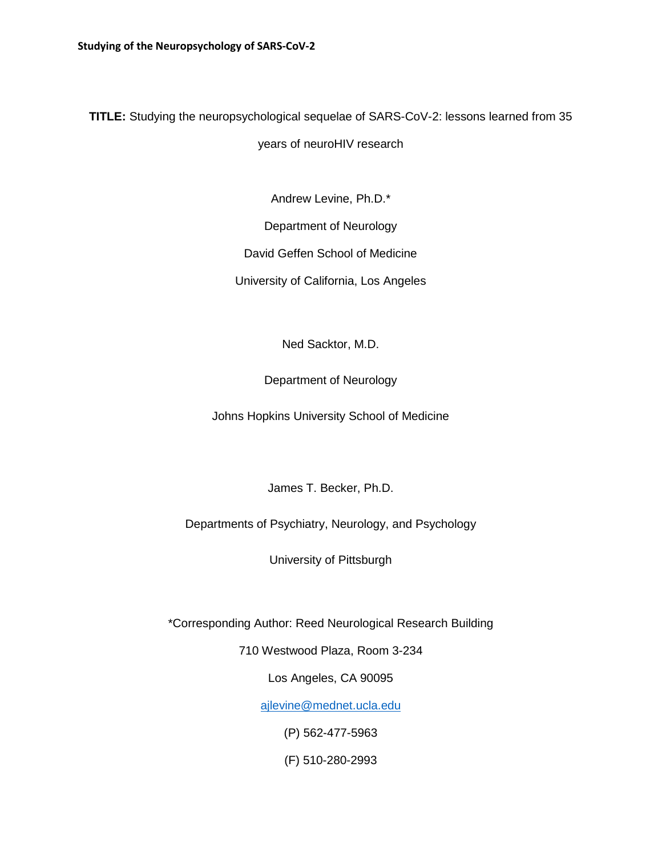**TITLE:** Studying the neuropsychological sequelae of SARS-CoV-2: lessons learned from 35

years of neuroHIV research

Andrew Levine, Ph.D.\*

Department of Neurology

David Geffen School of Medicine

University of California, Los Angeles

Ned Sacktor, M.D.

Department of Neurology

Johns Hopkins University School of Medicine

James T. Becker, Ph.D.

Departments of Psychiatry, Neurology, and Psychology

University of Pittsburgh

\*Corresponding Author: Reed Neurological Research Building

710 Westwood Plaza, Room 3-234

Los Angeles, CA 90095

[ajlevine@mednet.ucla.edu](mailto:ajlevine@mednet.ucla.edu)

(P) 562-477-5963

(F) 510-280-2993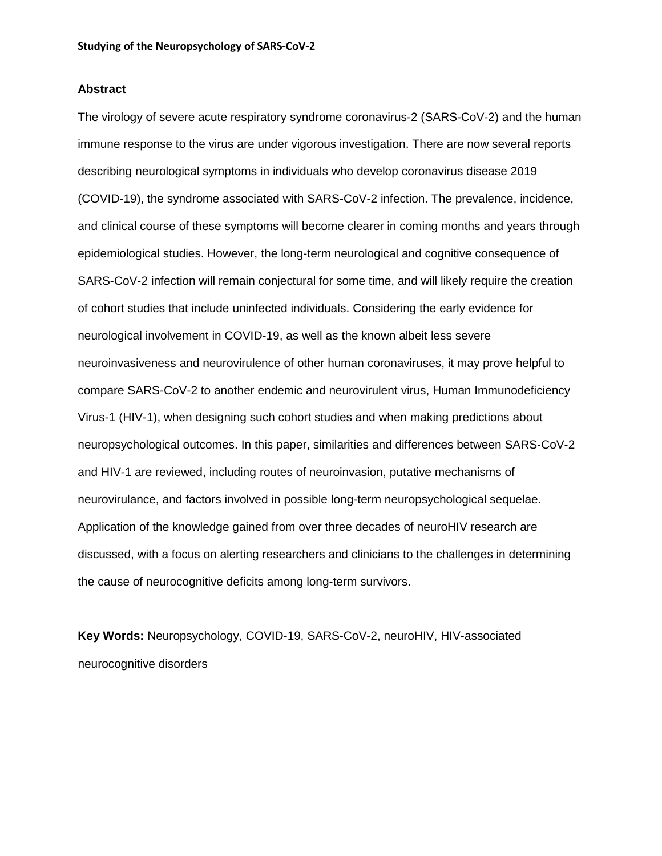## **Abstract**

The virology of severe acute respiratory syndrome coronavirus-2 (SARS-CoV-2) and the human immune response to the virus are under vigorous investigation. There are now several reports describing neurological symptoms in individuals who develop coronavirus disease 2019 (COVID-19), the syndrome associated with SARS-CoV-2 infection. The prevalence, incidence, and clinical course of these symptoms will become clearer in coming months and years through epidemiological studies. However, the long-term neurological and cognitive consequence of SARS-CoV-2 infection will remain conjectural for some time, and will likely require the creation of cohort studies that include uninfected individuals. Considering the early evidence for neurological involvement in COVID-19, as well as the known albeit less severe neuroinvasiveness and neurovirulence of other human coronaviruses, it may prove helpful to compare SARS-CoV-2 to another endemic and neurovirulent virus, Human Immunodeficiency Virus-1 (HIV-1), when designing such cohort studies and when making predictions about neuropsychological outcomes. In this paper, similarities and differences between SARS-CoV-2 and HIV-1 are reviewed, including routes of neuroinvasion, putative mechanisms of neurovirulance, and factors involved in possible long-term neuropsychological sequelae. Application of the knowledge gained from over three decades of neuroHIV research are discussed, with a focus on alerting researchers and clinicians to the challenges in determining the cause of neurocognitive deficits among long-term survivors.

**Key Words:** Neuropsychology, COVID-19, SARS-CoV-2, neuroHIV, HIV-associated neurocognitive disorders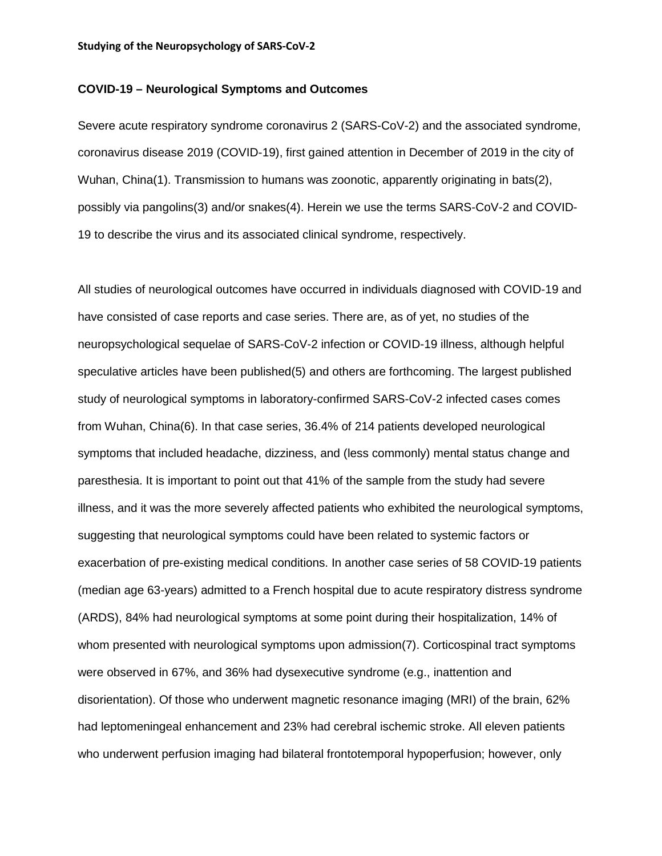# **COVID-19 – Neurological Symptoms and Outcomes**

Severe acute respiratory syndrome coronavirus 2 (SARS-CoV-2) and the associated syndrome, coronavirus disease 2019 (COVID-19), first gained attention in December of 2019 in the city of Wuhan, China(1). Transmission to humans was zoonotic, apparently originating in bats(2), possibly via pangolins(3) and/or snakes(4). Herein we use the terms SARS-CoV-2 and COVID-19 to describe the virus and its associated clinical syndrome, respectively.

All studies of neurological outcomes have occurred in individuals diagnosed with COVID-19 and have consisted of case reports and case series. There are, as of yet, no studies of the neuropsychological sequelae of SARS-CoV-2 infection or COVID-19 illness, although helpful speculative articles have been published(5) and others are forthcoming. The largest published study of neurological symptoms in laboratory-confirmed SARS-CoV-2 infected cases comes from Wuhan, China(6). In that case series, 36.4% of 214 patients developed neurological symptoms that included headache, dizziness, and (less commonly) mental status change and paresthesia. It is important to point out that 41% of the sample from the study had severe illness, and it was the more severely affected patients who exhibited the neurological symptoms, suggesting that neurological symptoms could have been related to systemic factors or exacerbation of pre-existing medical conditions. In another case series of 58 COVID-19 patients (median age 63-years) admitted to a French hospital due to acute respiratory distress syndrome (ARDS), 84% had neurological symptoms at some point during their hospitalization, 14% of whom presented with neurological symptoms upon admission(7). Corticospinal tract symptoms were observed in 67%, and 36% had dysexecutive syndrome (e.g., inattention and disorientation). Of those who underwent magnetic resonance imaging (MRI) of the brain, 62% had leptomeningeal enhancement and 23% had cerebral ischemic stroke. All eleven patients who underwent perfusion imaging had bilateral frontotemporal hypoperfusion; however, only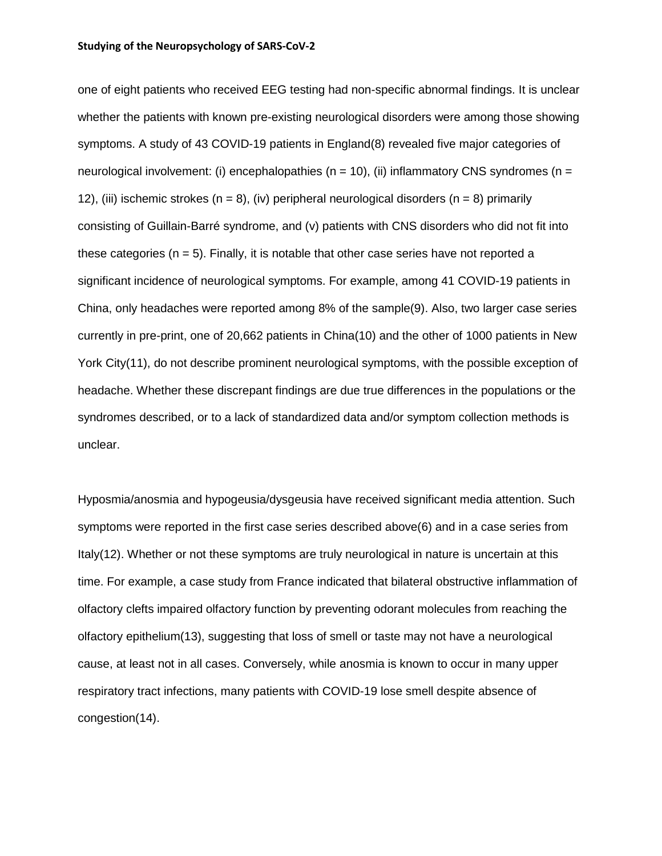one of eight patients who received EEG testing had non-specific abnormal findings. It is unclear whether the patients with known pre-existing neurological disorders were among those showing symptoms. A study of 43 COVID-19 patients in England(8) revealed five major categories of neurological involvement: (i) encephalopathies ( $n = 10$ ), (ii) inflammatory CNS syndromes ( $n =$ 12), (iii) ischemic strokes ( $n = 8$ ), (iv) peripheral neurological disorders ( $n = 8$ ) primarily consisting of Guillain-Barré syndrome, and (v) patients with CNS disorders who did not fit into these categories ( $n = 5$ ). Finally, it is notable that other case series have not reported a significant incidence of neurological symptoms. For example, among 41 COVID-19 patients in China, only headaches were reported among 8% of the sample(9). Also, two larger case series currently in pre-print, one of 20,662 patients in China(10) and the other of 1000 patients in New York City(11), do not describe prominent neurological symptoms, with the possible exception of headache. Whether these discrepant findings are due true differences in the populations or the syndromes described, or to a lack of standardized data and/or symptom collection methods is unclear.

Hyposmia/anosmia and hypogeusia/dysgeusia have received significant media attention. Such symptoms were reported in the first case series described above(6) and in a case series from Italy(12). Whether or not these symptoms are truly neurological in nature is uncertain at this time. For example, a case study from France indicated that bilateral obstructive inflammation of olfactory clefts impaired olfactory function by preventing odorant molecules from reaching the olfactory epithelium(13), suggesting that loss of smell or taste may not have a neurological cause, at least not in all cases. Conversely, while anosmia is known to occur in many upper respiratory tract infections, many patients with COVID-19 lose smell despite absence of congestion(14).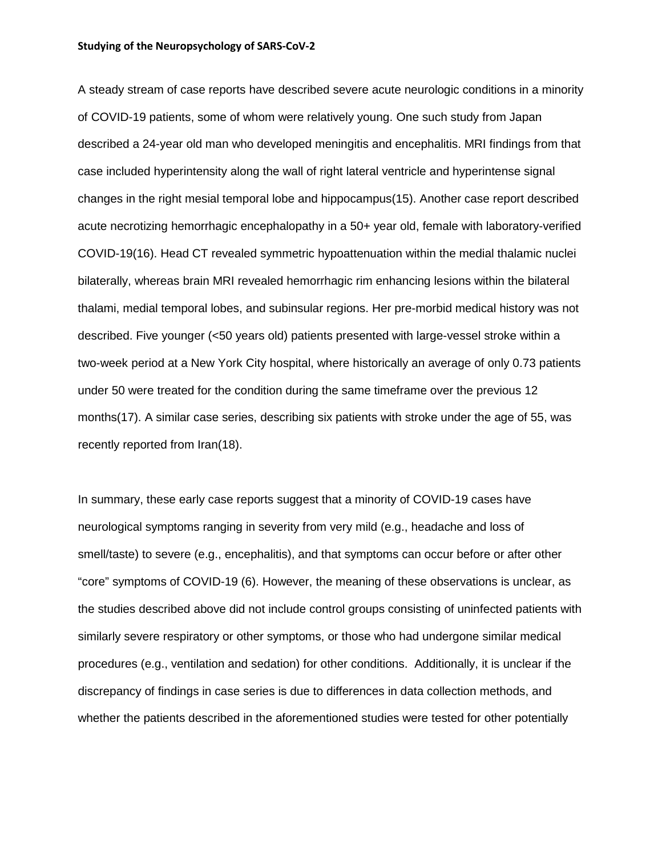A steady stream of case reports have described severe acute neurologic conditions in a minority of COVID-19 patients, some of whom were relatively young. One such study from Japan described a 24-year old man who developed meningitis and encephalitis. MRI findings from that case included hyperintensity along the wall of right lateral ventricle and hyperintense signal changes in the right mesial temporal lobe and hippocampus(15). Another case report described acute necrotizing hemorrhagic encephalopathy in a 50+ year old, female with laboratory-verified COVID-19(16). Head CT revealed symmetric hypoattenuation within the medial thalamic nuclei bilaterally, whereas brain MRI revealed hemorrhagic rim enhancing lesions within the bilateral thalami, medial temporal lobes, and subinsular regions. Her pre-morbid medical history was not described. Five younger (<50 years old) patients presented with large-vessel stroke within a two-week period at a New York City hospital, where historically an average of only 0.73 patients under 50 were treated for the condition during the same timeframe over the previous 12 months(17). A similar case series, describing six patients with stroke under the age of 55, was recently reported from Iran(18).

In summary, these early case reports suggest that a minority of COVID-19 cases have neurological symptoms ranging in severity from very mild (e.g., headache and loss of smell/taste) to severe (e.g., encephalitis), and that symptoms can occur before or after other "core" symptoms of COVID-19 (6). However, the meaning of these observations is unclear, as the studies described above did not include control groups consisting of uninfected patients with similarly severe respiratory or other symptoms, or those who had undergone similar medical procedures (e.g., ventilation and sedation) for other conditions. Additionally, it is unclear if the discrepancy of findings in case series is due to differences in data collection methods, and whether the patients described in the aforementioned studies were tested for other potentially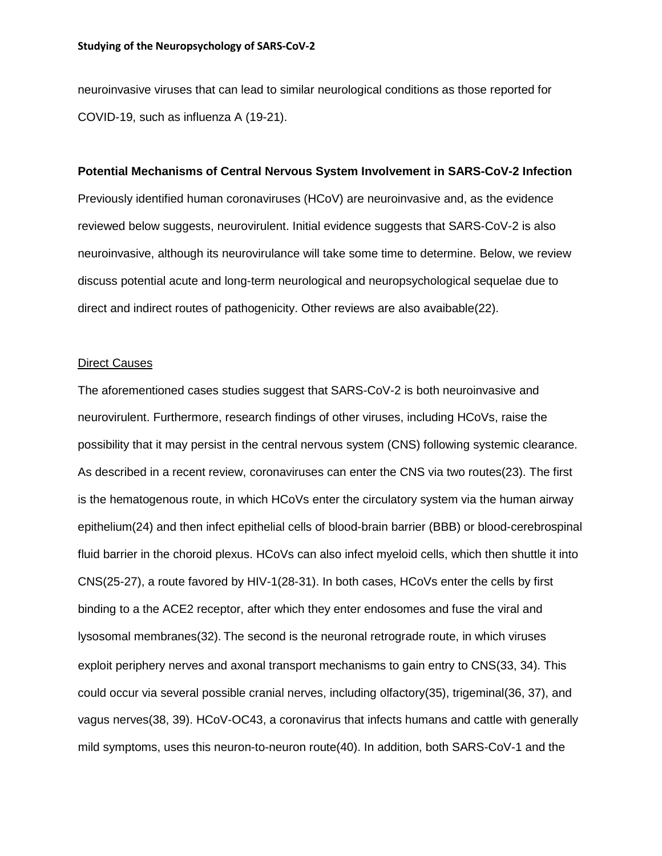neuroinvasive viruses that can lead to similar neurological conditions as those reported for COVID-19, such as influenza A (19-21).

#### **Potential Mechanisms of Central Nervous System Involvement in SARS-CoV-2 Infection**

Previously identified human coronaviruses (HCoV) are neuroinvasive and, as the evidence reviewed below suggests, neurovirulent. Initial evidence suggests that SARS-CoV-2 is also neuroinvasive, although its neurovirulance will take some time to determine. Below, we review discuss potential acute and long-term neurological and neuropsychological sequelae due to direct and indirect routes of pathogenicity. Other reviews are also avaibable(22).

### Direct Causes

The aforementioned cases studies suggest that SARS-CoV-2 is both neuroinvasive and neurovirulent. Furthermore, research findings of other viruses, including HCoVs, raise the possibility that it may persist in the central nervous system (CNS) following systemic clearance. As described in a recent review, coronaviruses can enter the CNS via two routes(23). The first is the hematogenous route, in which HCoVs enter the circulatory system via the human airway epithelium(24) and then infect epithelial cells of blood-brain barrier (BBB) or blood-cerebrospinal fluid barrier in the choroid plexus. HCoVs can also infect myeloid cells, which then shuttle it into CNS(25-27), a route favored by HIV-1(28-31). In both cases, HCoVs enter the cells by first binding to a the ACE2 receptor, after which they enter endosomes and fuse the viral and lysosomal membranes(32). The second is the neuronal retrograde route, in which viruses exploit periphery nerves and axonal transport mechanisms to gain entry to CNS(33, 34). This could occur via several possible cranial nerves, including olfactory(35), trigeminal(36, 37), and vagus nerves(38, 39). HCoV-OC43, a coronavirus that infects humans and cattle with generally mild symptoms, uses this neuron-to-neuron route(40). In addition, both SARS-CoV-1 and the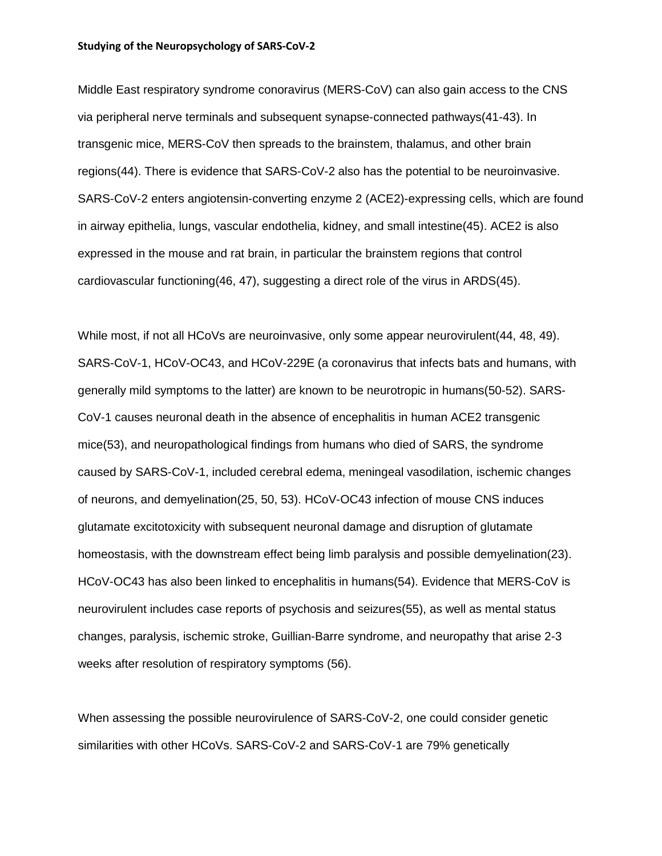Middle East respiratory syndrome conoravirus (MERS-CoV) can also gain access to the CNS via peripheral nerve terminals and subsequent synapse-connected pathways(41-43). In transgenic mice, MERS-CoV then spreads to the brainstem, thalamus, and other brain regions(44). There is evidence that SARS-CoV-2 also has the potential to be neuroinvasive. SARS-CoV-2 enters angiotensin-converting enzyme 2 (ACE2)-expressing cells, which are found in airway epithelia, lungs, vascular endothelia, kidney, and small intestine(45). ACE2 is also expressed in the mouse and rat brain, in particular the brainstem regions that control cardiovascular functioning(46, 47), suggesting a direct role of the virus in ARDS(45).

While most, if not all HCoVs are neuroinvasive, only some appear neurovirulent(44, 48, 49). SARS-CoV-1, HCoV-OC43, and HCoV-229E (a coronavirus that infects bats and humans, with generally mild symptoms to the latter) are known to be neurotropic in humans(50-52). SARS-CoV-1 causes neuronal death in the absence of encephalitis in human ACE2 transgenic mice(53), and neuropathological findings from humans who died of SARS, the syndrome caused by SARS-CoV-1, included cerebral edema, meningeal vasodilation, ischemic changes of neurons, and demyelination(25, 50, 53). HCoV-OC43 infection of mouse CNS induces glutamate excitotoxicity with subsequent neuronal damage and disruption of glutamate homeostasis, with the downstream effect being limb paralysis and possible demyelination(23). HCoV-OC43 has also been linked to encephalitis in humans(54). Evidence that MERS-CoV is neurovirulent includes case reports of psychosis and seizures(55), as well as mental status changes, paralysis, ischemic stroke, Guillian-Barre syndrome, and neuropathy that arise 2-3 weeks after resolution of respiratory symptoms (56).

When assessing the possible neurovirulence of SARS-CoV-2, one could consider genetic similarities with other HCoVs. SARS-CoV-2 and SARS-CoV-1 are 79% genetically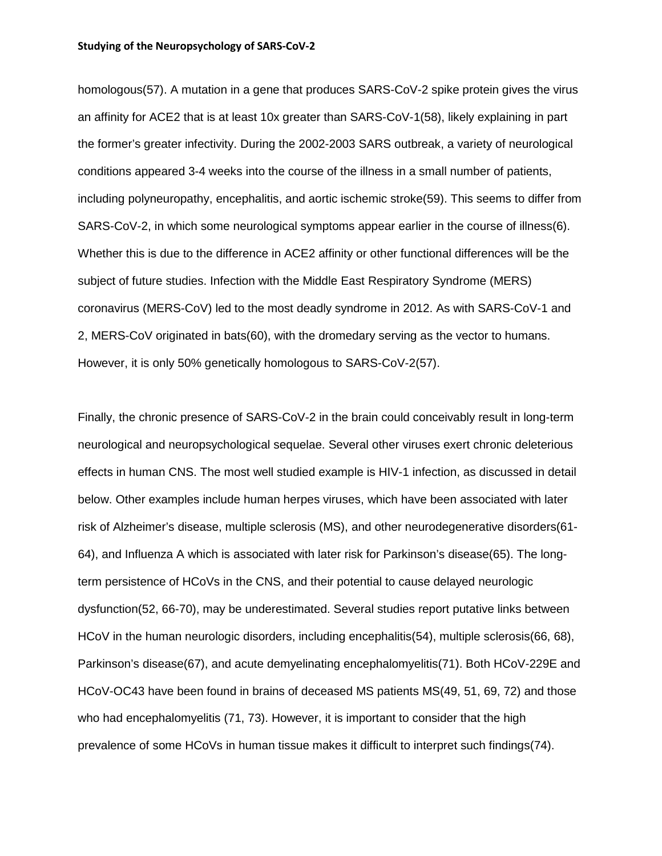homologous(57). A mutation in a gene that produces SARS-CoV-2 spike protein gives the virus an affinity for ACE2 that is at least 10x greater than SARS-CoV-1(58), likely explaining in part the former's greater infectivity. During the 2002-2003 SARS outbreak, a variety of neurological conditions appeared 3-4 weeks into the course of the illness in a small number of patients, including polyneuropathy, encephalitis, and aortic ischemic stroke(59). This seems to differ from SARS-CoV-2, in which some neurological symptoms appear earlier in the course of illness(6). Whether this is due to the difference in ACE2 affinity or other functional differences will be the subject of future studies. Infection with the Middle East Respiratory Syndrome (MERS) coronavirus (MERS-CoV) led to the most deadly syndrome in 2012. As with SARS-CoV-1 and 2, MERS-CoV originated in bats(60), with the dromedary serving as the vector to humans. However, it is only 50% genetically homologous to SARS-CoV-2(57).

Finally, the chronic presence of SARS-CoV-2 in the brain could conceivably result in long-term neurological and neuropsychological sequelae. Several other viruses exert chronic deleterious effects in human CNS. The most well studied example is HIV-1 infection, as discussed in detail below. Other examples include human herpes viruses, which have been associated with later risk of Alzheimer's disease, multiple sclerosis (MS), and other neurodegenerative disorders(61- 64), and Influenza A which is associated with later risk for Parkinson's disease(65). The longterm persistence of HCoVs in the CNS, and their potential to cause delayed neurologic dysfunction(52, 66-70), may be underestimated. Several studies report putative links between HCoV in the human neurologic disorders, including encephalitis(54), multiple sclerosis(66, 68), Parkinson's disease(67), and acute demyelinating encephalomyelitis(71). Both HCoV-229E and HCoV-OC43 have been found in brains of deceased MS patients MS(49, 51, 69, 72) and those who had encephalomyelitis (71, 73). However, it is important to consider that the high prevalence of some HCoVs in human tissue makes it difficult to interpret such findings(74).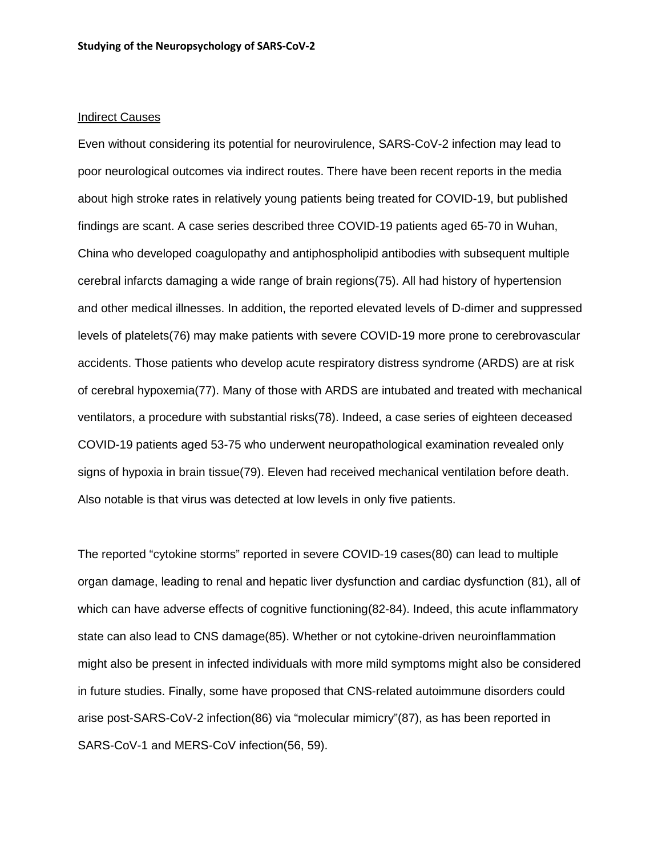#### Indirect Causes

Even without considering its potential for neurovirulence, SARS-CoV-2 infection may lead to poor neurological outcomes via indirect routes. There have been recent reports in the media about high stroke rates in relatively young patients being treated for COVID-19, but published findings are scant. A case series described three COVID-19 patients aged 65-70 in Wuhan, China who developed coagulopathy and antiphospholipid antibodies with subsequent multiple cerebral infarcts damaging a wide range of brain regions(75). All had history of hypertension and other medical illnesses. In addition, the reported elevated levels of D-dimer and suppressed levels of platelets(76) may make patients with severe COVID-19 more prone to cerebrovascular accidents. Those patients who develop acute respiratory distress syndrome (ARDS) are at risk of cerebral hypoxemia(77). Many of those with ARDS are intubated and treated with mechanical ventilators, a procedure with substantial risks(78). Indeed, a case series of eighteen deceased COVID-19 patients aged 53-75 who underwent neuropathological examination revealed only signs of hypoxia in brain tissue(79). Eleven had received mechanical ventilation before death. Also notable is that virus was detected at low levels in only five patients.

The reported "cytokine storms" reported in severe COVID-19 cases(80) can lead to multiple organ damage, leading to renal and hepatic liver dysfunction and cardiac dysfunction (81), all of which can have adverse effects of cognitive functioning(82-84). Indeed, this acute inflammatory state can also lead to CNS damage(85). Whether or not cytokine-driven neuroinflammation might also be present in infected individuals with more mild symptoms might also be considered in future studies. Finally, some have proposed that CNS-related autoimmune disorders could arise post-SARS-CoV-2 infection(86) via "molecular mimicry"(87), as has been reported in SARS-CoV-1 and MERS-CoV infection(56, 59).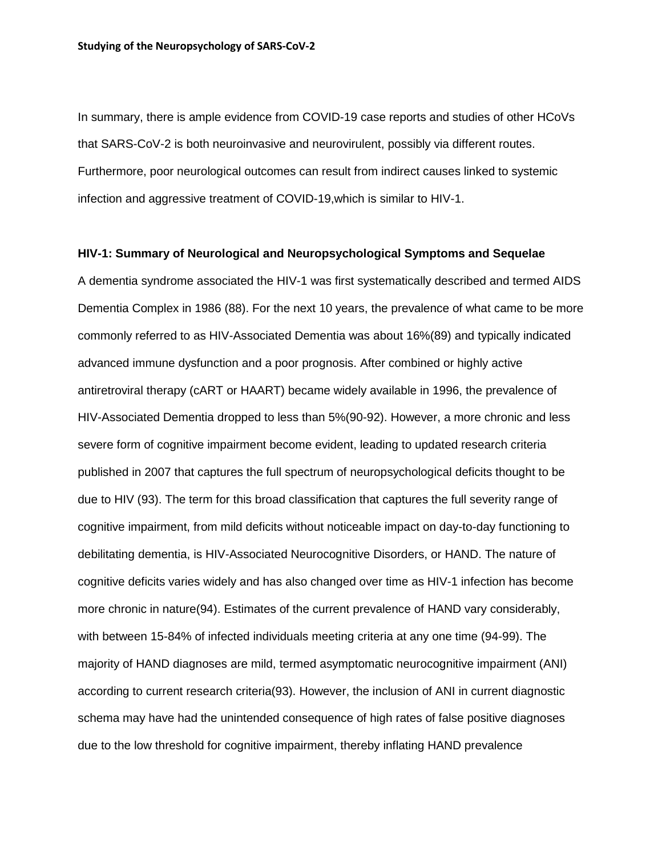In summary, there is ample evidence from COVID-19 case reports and studies of other HCoVs that SARS-CoV-2 is both neuroinvasive and neurovirulent, possibly via different routes. Furthermore, poor neurological outcomes can result from indirect causes linked to systemic infection and aggressive treatment of COVID-19,which is similar to HIV-1.

### **HIV-1: Summary of Neurological and Neuropsychological Symptoms and Sequelae**

A dementia syndrome associated the HIV-1 was first systematically described and termed AIDS Dementia Complex in 1986 (88). For the next 10 years, the prevalence of what came to be more commonly referred to as HIV-Associated Dementia was about 16%(89) and typically indicated advanced immune dysfunction and a poor prognosis. After combined or highly active antiretroviral therapy (cART or HAART) became widely available in 1996, the prevalence of HIV-Associated Dementia dropped to less than 5%(90-92). However, a more chronic and less severe form of cognitive impairment become evident, leading to updated research criteria published in 2007 that captures the full spectrum of neuropsychological deficits thought to be due to HIV (93). The term for this broad classification that captures the full severity range of cognitive impairment, from mild deficits without noticeable impact on day-to-day functioning to debilitating dementia, is HIV-Associated Neurocognitive Disorders, or HAND. The nature of cognitive deficits varies widely and has also changed over time as HIV-1 infection has become more chronic in nature(94). Estimates of the current prevalence of HAND vary considerably, with between 15-84% of infected individuals meeting criteria at any one time (94-99). The majority of HAND diagnoses are mild, termed asymptomatic neurocognitive impairment (ANI) according to current research criteria(93). However, the inclusion of ANI in current diagnostic schema may have had the unintended consequence of high rates of false positive diagnoses due to the low threshold for cognitive impairment, thereby inflating HAND prevalence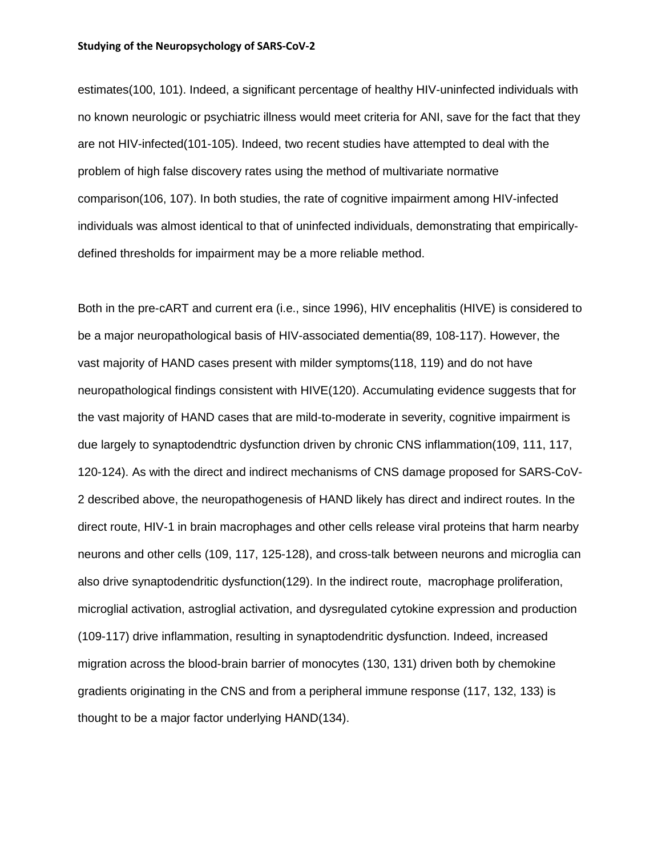estimates(100, 101). Indeed, a significant percentage of healthy HIV-uninfected individuals with no known neurologic or psychiatric illness would meet criteria for ANI, save for the fact that they are not HIV-infected(101-105). Indeed, two recent studies have attempted to deal with the problem of high false discovery rates using the method of multivariate normative comparison(106, 107). In both studies, the rate of cognitive impairment among HIV-infected individuals was almost identical to that of uninfected individuals, demonstrating that empiricallydefined thresholds for impairment may be a more reliable method.

Both in the pre-cART and current era (i.e., since 1996), HIV encephalitis (HIVE) is considered to be a major neuropathological basis of HIV-associated dementia(89, 108-117). However, the vast majority of HAND cases present with milder symptoms(118, 119) and do not have neuropathological findings consistent with HIVE(120). Accumulating evidence suggests that for the vast majority of HAND cases that are mild-to-moderate in severity, cognitive impairment is due largely to synaptodendtric dysfunction driven by chronic CNS inflammation(109, 111, 117, 120-124). As with the direct and indirect mechanisms of CNS damage proposed for SARS-CoV-2 described above, the neuropathogenesis of HAND likely has direct and indirect routes. In the direct route, HIV-1 in brain macrophages and other cells release viral proteins that harm nearby neurons and other cells (109, 117, 125-128), and cross-talk between neurons and microglia can also drive synaptodendritic dysfunction(129). In the indirect route, macrophage proliferation, microglial activation, astroglial activation, and dysregulated cytokine expression and production (109-117) drive inflammation, resulting in synaptodendritic dysfunction. Indeed, increased migration across the blood-brain barrier of monocytes (130, 131) driven both by chemokine gradients originating in the CNS and from a peripheral immune response (117, 132, 133) is thought to be a major factor underlying HAND(134).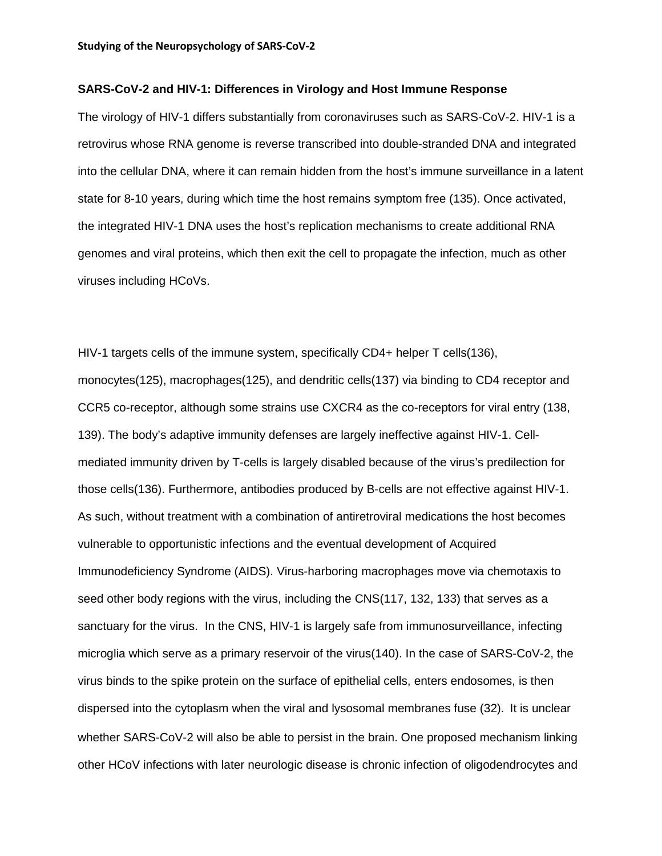### **SARS-CoV-2 and HIV-1: Differences in Virology and Host Immune Response**

The virology of HIV-1 differs substantially from coronaviruses such as SARS-CoV-2. HIV-1 is a retrovirus whose [RNA](https://en.wikipedia.org/wiki/RNA) [genome](https://en.wikipedia.org/wiki/Genome) is reverse transcribed into double-stranded [DNA](https://en.wikipedia.org/wiki/DNA) and integrated into the cellular DNA, where it can remain hidden from the host's immune surveillance in a [latent](https://en.wikipedia.org/wiki/Virus_latency) state for 8-10 years, during which time the host remains symptom free (135). Once activated, the integrated HIV-1 DNA uses the host's replication mechanisms to create additional RNA genomes and viral proteins, which then exit the cell to propagate the infection, much as other viruses including HCoVs.

HIV-1 targets cells of the immune system, specifically CD4+ [helper T cells\(](https://en.wikipedia.org/wiki/T_helper_cell)136), monocytes(125), [macrophages\(](https://en.wikipedia.org/wiki/Macrophage)125), and [dendritic cells\(](https://en.wikipedia.org/wiki/Dendritic_cell)137) via binding to CD4 receptor and CCR5 co-receptor, although some strains use CXCR4 as the co-receptors for viral entry (138, 139). The body's adaptive immunity defenses are largely ineffective against HIV-1. Cellmediated immunity driven by T-cells is largely disabled because of the virus's predilection for those cells(136). Furthermore, antibodies produced by B-cells are not effective against HIV-1. As such, without treatment with a combination of antiretroviral medications the host becomes vulnerable to opportunistic infections and the eventual development of Acquired Immunodeficiency Syndrome (AIDS). Virus-harboring macrophages move via chemotaxis to seed other body regions with the virus, including the CNS(117, 132, 133) that serves as a sanctuary for the virus. In the CNS, HIV-1 is largely safe from immunosurveillance, infecting microglia which serve as a primary reservoir of the virus(140). In the case of SARS-CoV-2, the virus binds to the spike protein on the surface of epithelial cells, enters endosomes, is then dispersed into the cytoplasm when the viral and lysosomal membranes fuse (32). It is unclear whether SARS-CoV-2 will also be able to persist in the brain. One proposed mechanism linking other HCoV infections with later neurologic disease is chronic infection of oligodendrocytes and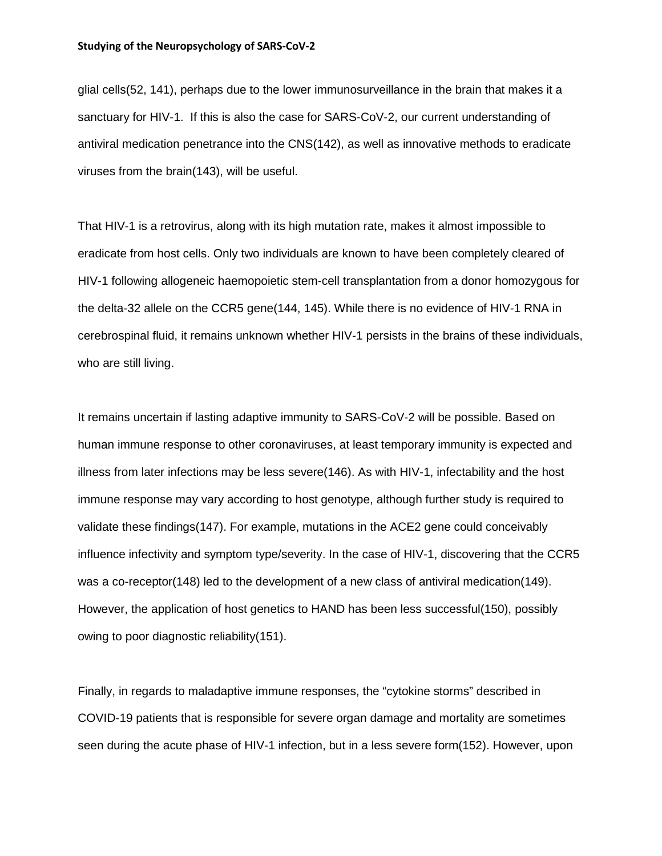glial cells(52, 141), perhaps due to the lower immunosurveillance in the brain that makes it a sanctuary for HIV-1. If this is also the case for SARS-CoV-2, our current understanding of antiviral medication penetrance into the CNS(142), as well as innovative methods to eradicate viruses from the brain(143), will be useful.

That HIV-1 is a retrovirus, along with its high mutation rate, makes it almost impossible to eradicate from host cells. Only two individuals are known to have been completely cleared of HIV-1 following allogeneic haemopoietic stem-cell transplantation from a donor homozygous for the delta-32 allele on the CCR5 gene(144, 145). While there is no evidence of HIV-1 RNA in cerebrospinal fluid, it remains unknown whether HIV-1 persists in the brains of these individuals, who are still living.

It remains uncertain if lasting adaptive immunity to SARS-CoV-2 will be possible. Based on human immune response to other coronaviruses, at least temporary immunity is expected and illness from later infections may be less severe(146). As with HIV-1, infectability and the host immune response may vary according to host genotype, although further study is required to validate these findings(147). For example, mutations in the ACE2 gene could conceivably influence infectivity and symptom type/severity. In the case of HIV-1, discovering that the CCR5 was a co-receptor(148) led to the development of a new class of antiviral medication(149). However, the application of host genetics to HAND has been less successful(150), possibly owing to poor diagnostic reliability(151).

Finally, in regards to maladaptive immune responses, the "cytokine storms" described in COVID-19 patients that is responsible for severe organ damage and mortality are sometimes seen during the acute phase of HIV-1 infection, but in a less severe form(152). However, upon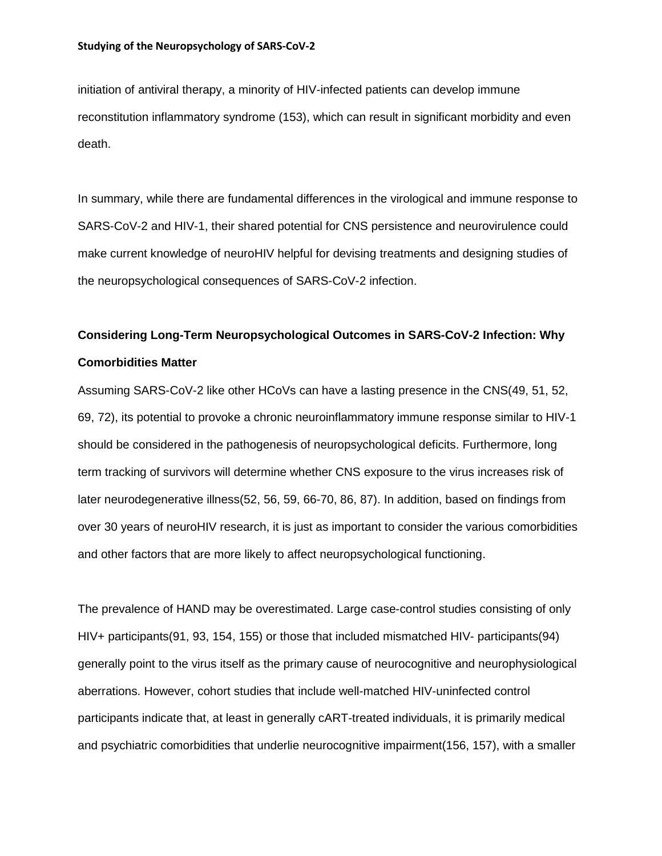initiation of antiviral therapy, a minority of HIV-infected patients can develop immune reconstitution inflammatory syndrome (153), which can result in significant morbidity and even death.

In summary, while there are fundamental differences in the virological and immune response to SARS-CoV-2 and HIV-1, their shared potential for CNS persistence and neurovirulence could make current knowledge of neuroHIV helpful for devising treatments and designing studies of the neuropsychological consequences of SARS-CoV-2 infection.

# **Considering Long-Term Neuropsychological Outcomes in SARS-CoV-2 Infection: Why Comorbidities Matter**

Assuming SARS-CoV-2 like other HCoVs can have a lasting presence in the CNS(49, 51, 52, 69, 72), its potential to provoke a chronic neuroinflammatory immune response similar to HIV-1 should be considered in the pathogenesis of neuropsychological deficits. Furthermore, long term tracking of survivors will determine whether CNS exposure to the virus increases risk of later neurodegenerative illness(52, 56, 59, 66-70, 86, 87). In addition, based on findings from over 30 years of neuroHIV research, it is just as important to consider the various comorbidities and other factors that are more likely to affect neuropsychological functioning.

The prevalence of HAND may be overestimated. Large case-control studies consisting of only HIV+ participants(91, 93, 154, 155) or those that included mismatched HIV- participants(94) generally point to the virus itself as the primary cause of neurocognitive and neurophysiological aberrations. However, cohort studies that include well-matched HIV-uninfected control participants indicate that, at least in generally cART-treated individuals, it is primarily medical and psychiatric comorbidities that underlie neurocognitive impairment(156, 157), with a smaller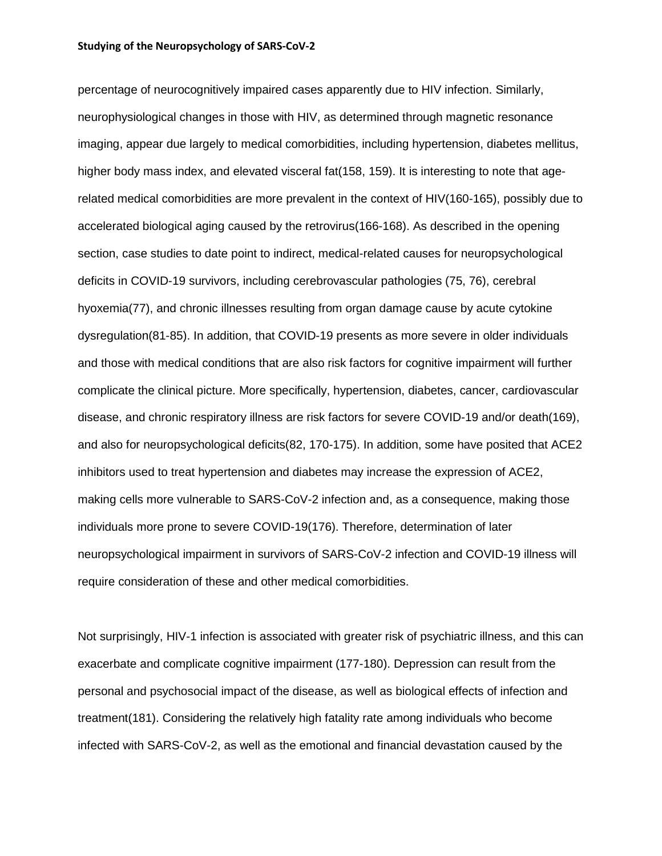percentage of neurocognitively impaired cases apparently due to HIV infection. Similarly, neurophysiological changes in those with HIV, as determined through magnetic resonance imaging, appear due largely to medical comorbidities, including hypertension, diabetes mellitus, higher body mass index, and elevated visceral fat(158, 159). It is interesting to note that agerelated medical comorbidities are more prevalent in the context of HIV(160-165), possibly due to accelerated biological aging caused by the retrovirus(166-168). As described in the opening section, case studies to date point to indirect, medical-related causes for neuropsychological deficits in COVID-19 survivors, including cerebrovascular pathologies (75, 76), cerebral hyoxemia(77), and chronic illnesses resulting from organ damage cause by acute cytokine dysregulation(81-85). In addition, that COVID-19 presents as more severe in older individuals and those with medical conditions that are also risk factors for cognitive impairment will further complicate the clinical picture. More specifically, hypertension, diabetes, cancer, cardiovascular disease, and chronic respiratory illness are risk factors for severe COVID-19 and/or death(169), and also for neuropsychological deficits(82, 170-175). In addition, some have posited that ACE2 inhibitors used to treat hypertension and diabetes may increase the expression of ACE2, making cells more vulnerable to SARS-CoV-2 infection and, as a consequence, making those individuals more prone to severe COVID-19(176). Therefore, determination of later neuropsychological impairment in survivors of SARS-CoV-2 infection and COVID-19 illness will require consideration of these and other medical comorbidities.

Not surprisingly, HIV-1 infection is associated with greater risk of psychiatric illness, and this can exacerbate and complicate cognitive impairment (177-180). Depression can result from the personal and psychosocial impact of the disease, as well as biological effects of infection and treatment(181). Considering the relatively high fatality rate among individuals who become infected with SARS-CoV-2, as well as the emotional and financial devastation caused by the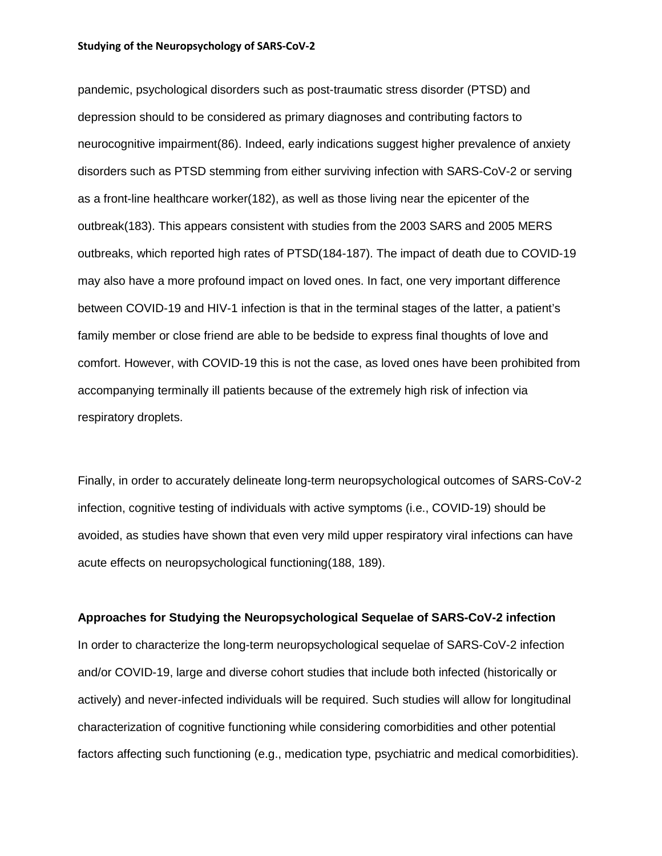pandemic, psychological disorders such as post-traumatic stress disorder (PTSD) and depression should to be considered as primary diagnoses and contributing factors to neurocognitive impairment(86). Indeed, early indications suggest higher prevalence of anxiety disorders such as PTSD stemming from either surviving infection with SARS-CoV-2 or serving as a front-line healthcare worker(182), as well as those living near the epicenter of the outbreak(183). This appears consistent with studies from the 2003 SARS and 2005 MERS outbreaks, which reported high rates of PTSD(184-187). The impact of death due to COVID-19 may also have a more profound impact on loved ones. In fact, one very important difference between COVID-19 and HIV-1 infection is that in the terminal stages of the latter, a patient's family member or close friend are able to be bedside to express final thoughts of love and comfort. However, with COVID-19 this is not the case, as loved ones have been prohibited from accompanying terminally ill patients because of the extremely high risk of infection via respiratory droplets.

Finally, in order to accurately delineate long-term neuropsychological outcomes of SARS-CoV-2 infection, cognitive testing of individuals with active symptoms (i.e., COVID-19) should be avoided, as studies have shown that even very mild upper respiratory viral infections can have acute effects on neuropsychological functioning(188, 189).

### **Approaches for Studying the Neuropsychological Sequelae of SARS-CoV-2 infection**

In order to characterize the long-term neuropsychological sequelae of SARS-CoV-2 infection and/or COVID-19, large and diverse cohort studies that include both infected (historically or actively) and never-infected individuals will be required. Such studies will allow for longitudinal characterization of cognitive functioning while considering comorbidities and other potential factors affecting such functioning (e.g., medication type, psychiatric and medical comorbidities).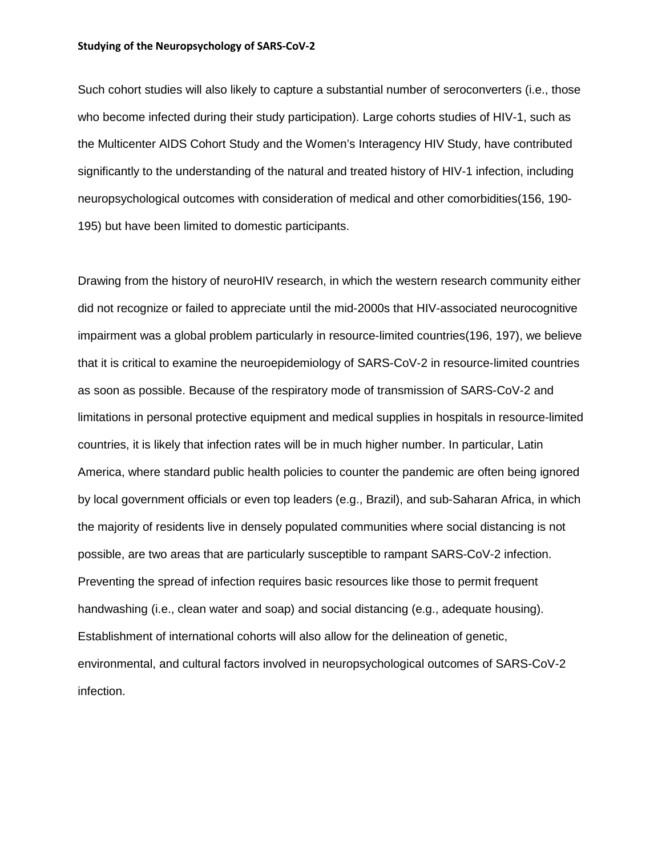Such cohort studies will also likely to capture a substantial number of seroconverters (i.e., those who become infected during their study participation). Large cohorts studies of HIV-1, such as the Multicenter AIDS Cohort Study and the Women's Interagency HIV Study, have contributed significantly to the understanding of the natural and treated history of HIV-1 infection, including neuropsychological outcomes with consideration of medical and other comorbidities(156, 190- 195) but have been limited to domestic participants.

Drawing from the history of neuroHIV research, in which the western research community either did not recognize or failed to appreciate until the mid-2000s that HIV-associated neurocognitive impairment was a global problem particularly in resource-limited countries(196, 197), we believe that it is critical to examine the neuroepidemiology of SARS-CoV-2 in resource-limited countries as soon as possible. Because of the respiratory mode of transmission of SARS-CoV-2 and limitations in personal protective equipment and medical supplies in hospitals in resource-limited countries, it is likely that infection rates will be in much higher number. In particular, Latin America, where standard public health policies to counter the pandemic are often being ignored by local government officials or even top leaders (e.g., Brazil), and sub-Saharan Africa, in which the majority of residents live in densely populated communities where social distancing is not possible, are two areas that are particularly susceptible to rampant SARS-CoV-2 infection. Preventing the spread of infection requires basic resources like those to permit frequent handwashing (i.e., clean water and soap) and social distancing (e.g., adequate housing). Establishment of international cohorts will also allow for the delineation of genetic, environmental, and cultural factors involved in neuropsychological outcomes of SARS-CoV-2 infection.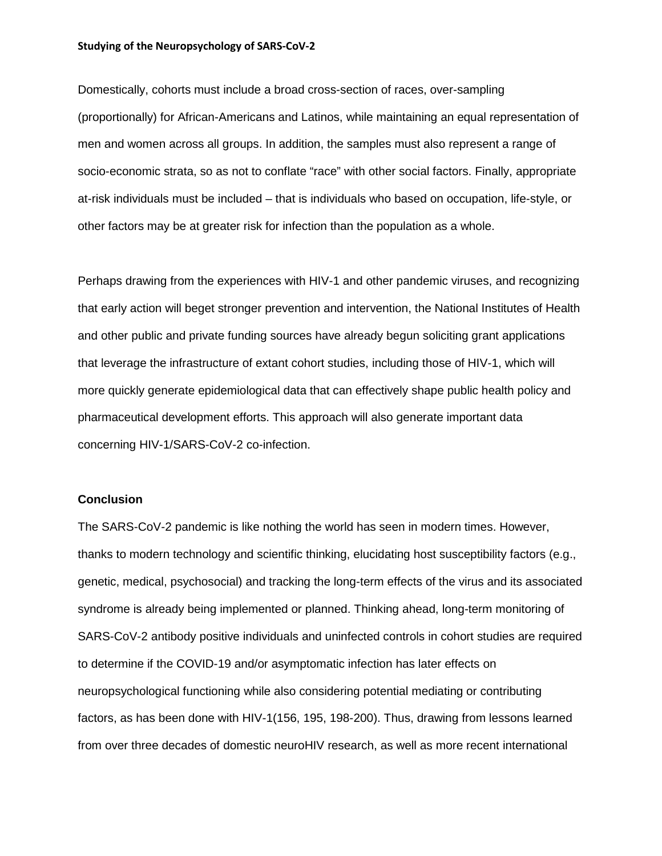Domestically, cohorts must include a broad cross-section of races, over-sampling (proportionally) for African-Americans and Latinos, while maintaining an equal representation of men and women across all groups. In addition, the samples must also represent a range of socio-economic strata, so as not to conflate "race" with other social factors. Finally, appropriate at-risk individuals must be included – that is individuals who based on occupation, life-style, or other factors may be at greater risk for infection than the population as a whole.

Perhaps drawing from the experiences with HIV-1 and other pandemic viruses, and recognizing that early action will beget stronger prevention and intervention, the National Institutes of Health and other public and private funding sources have already begun soliciting grant applications that leverage the infrastructure of extant cohort studies, including those of HIV-1, which will more quickly generate epidemiological data that can effectively shape public health policy and pharmaceutical development efforts. This approach will also generate important data concerning HIV-1/SARS-CoV-2 co-infection.

# **Conclusion**

The SARS-CoV-2 pandemic is like nothing the world has seen in modern times. However, thanks to modern technology and scientific thinking, elucidating host susceptibility factors (e.g., genetic, medical, psychosocial) and tracking the long-term effects of the virus and its associated syndrome is already being implemented or planned. Thinking ahead, long-term monitoring of SARS-CoV-2 antibody positive individuals and uninfected controls in cohort studies are required to determine if the COVID-19 and/or asymptomatic infection has later effects on neuropsychological functioning while also considering potential mediating or contributing factors, as has been done with HIV-1(156, 195, 198-200). Thus, drawing from lessons learned from over three decades of domestic neuroHIV research, as well as more recent international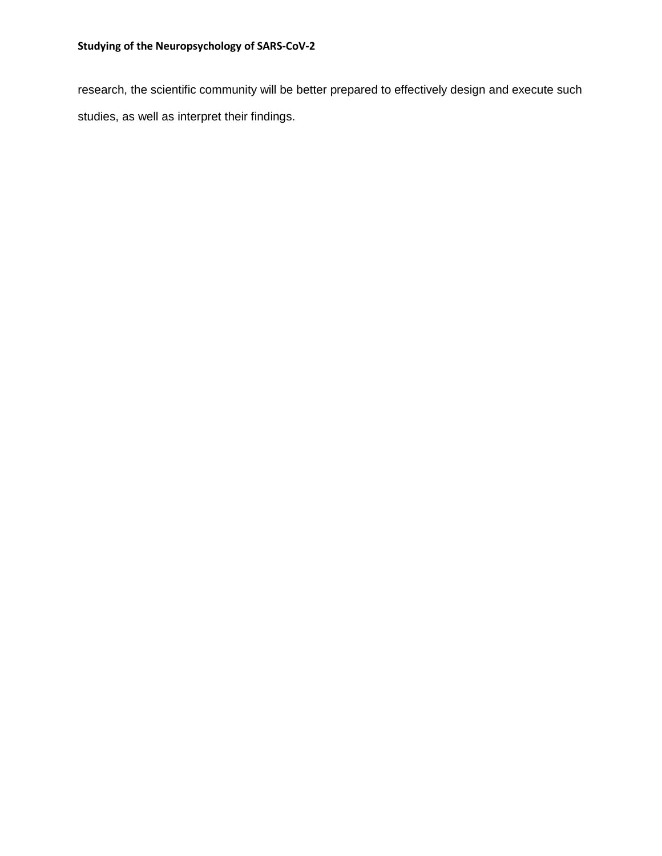research, the scientific community will be better prepared to effectively design and execute such studies, as well as interpret their findings.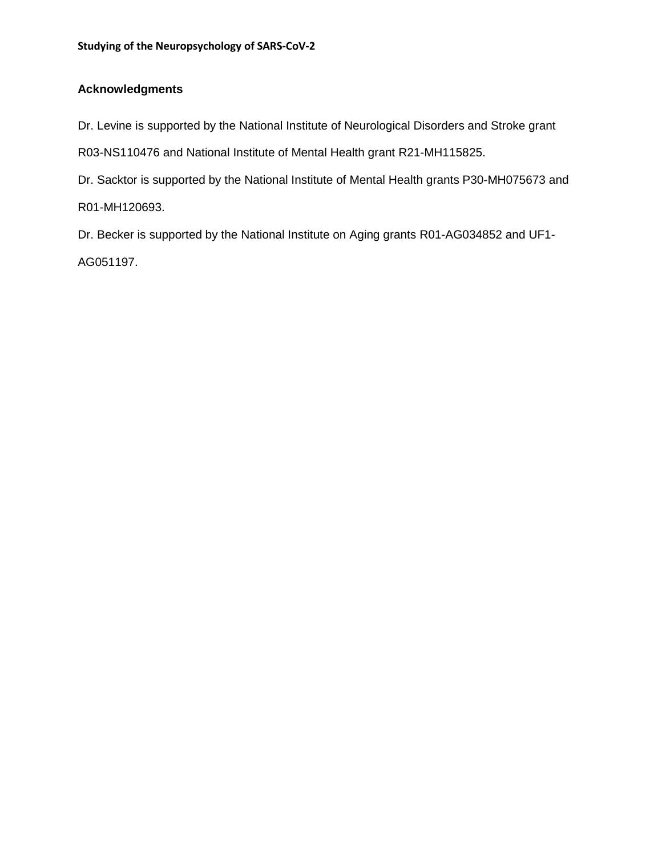# **Acknowledgments**

Dr. Levine is supported by the National Institute of Neurological Disorders and Stroke grant

R03-NS110476 and National Institute of Mental Health grant R21-MH115825.

Dr. Sacktor is supported by the National Institute of Mental Health grants P30-MH075673 and R01-MH120693.

Dr. Becker is supported by the National Institute on Aging grants R01-AG034852 and UF1- AG051197.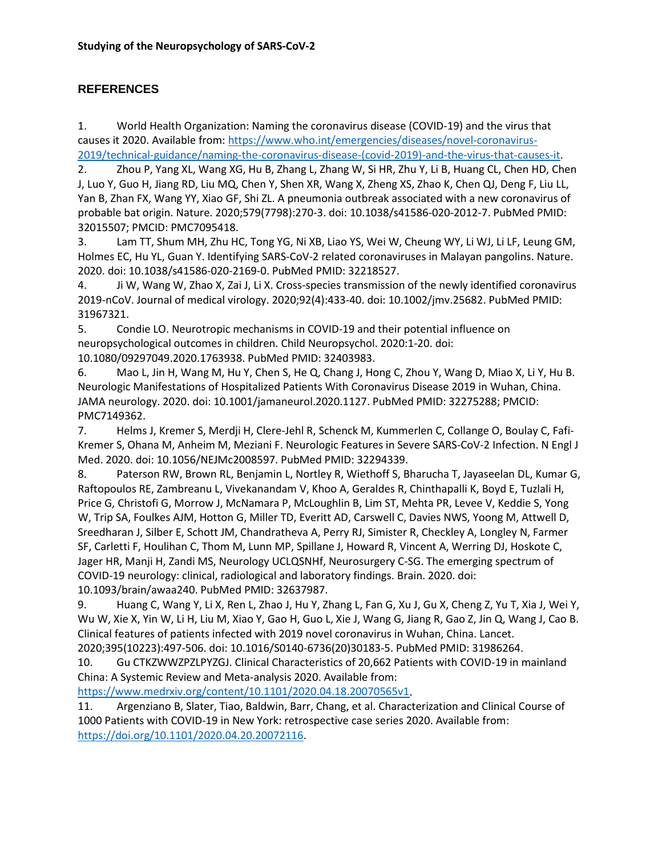# **REFERENCES**

1. World Health Organization: Naming the coronavirus disease (COVID-19) and the virus that causes it 2020. Available from: [https://www.who.int/emergencies/diseases/novel-coronavirus-](https://www.who.int/emergencies/diseases/novel-coronavirus-2019/technical-guidance/naming-the-coronavirus-disease-(covid-2019)-and-the-virus-that-causes-it)[2019/technical-guidance/naming-the-coronavirus-disease-\(covid-2019\)-and-the-virus-that-causes-it.](https://www.who.int/emergencies/diseases/novel-coronavirus-2019/technical-guidance/naming-the-coronavirus-disease-(covid-2019)-and-the-virus-that-causes-it)

2. Zhou P, Yang XL, Wang XG, Hu B, Zhang L, Zhang W, Si HR, Zhu Y, Li B, Huang CL, Chen HD, Chen J, Luo Y, Guo H, Jiang RD, Liu MQ, Chen Y, Shen XR, Wang X, Zheng XS, Zhao K, Chen QJ, Deng F, Liu LL, Yan B, Zhan FX, Wang YY, Xiao GF, Shi ZL. A pneumonia outbreak associated with a new coronavirus of probable bat origin. Nature. 2020;579(7798):270-3. doi: 10.1038/s41586-020-2012-7. PubMed PMID: 32015507; PMCID: PMC7095418.

3. Lam TT, Shum MH, Zhu HC, Tong YG, Ni XB, Liao YS, Wei W, Cheung WY, Li WJ, Li LF, Leung GM, Holmes EC, Hu YL, Guan Y. Identifying SARS-CoV-2 related coronaviruses in Malayan pangolins. Nature. 2020. doi: 10.1038/s41586-020-2169-0. PubMed PMID: 32218527.

4. Ji W, Wang W, Zhao X, Zai J, Li X. Cross-species transmission of the newly identified coronavirus 2019-nCoV. Journal of medical virology. 2020;92(4):433-40. doi: 10.1002/jmv.25682. PubMed PMID: 31967321.

5. Condie LO. Neurotropic mechanisms in COVID-19 and their potential influence on neuropsychological outcomes in children. Child Neuropsychol. 2020:1-20. doi: 10.1080/09297049.2020.1763938. PubMed PMID: 32403983.

6. Mao L, Jin H, Wang M, Hu Y, Chen S, He Q, Chang J, Hong C, Zhou Y, Wang D, Miao X, Li Y, Hu B. Neurologic Manifestations of Hospitalized Patients With Coronavirus Disease 2019 in Wuhan, China. JAMA neurology. 2020. doi: 10.1001/jamaneurol.2020.1127. PubMed PMID: 32275288; PMCID: PMC7149362.

7. Helms J, Kremer S, Merdji H, Clere-Jehl R, Schenck M, Kummerlen C, Collange O, Boulay C, Fafi-Kremer S, Ohana M, Anheim M, Meziani F. Neurologic Features in Severe SARS-CoV-2 Infection. N Engl J Med. 2020. doi: 10.1056/NEJMc2008597. PubMed PMID: 32294339.

8. Paterson RW, Brown RL, Benjamin L, Nortley R, Wiethoff S, Bharucha T, Jayaseelan DL, Kumar G, Raftopoulos RE, Zambreanu L, Vivekanandam V, Khoo A, Geraldes R, Chinthapalli K, Boyd E, Tuzlali H, Price G, Christofi G, Morrow J, McNamara P, McLoughlin B, Lim ST, Mehta PR, Levee V, Keddie S, Yong W, Trip SA, Foulkes AJM, Hotton G, Miller TD, Everitt AD, Carswell C, Davies NWS, Yoong M, Attwell D, Sreedharan J, Silber E, Schott JM, Chandratheva A, Perry RJ, Simister R, Checkley A, Longley N, Farmer SF, Carletti F, Houlihan C, Thom M, Lunn MP, Spillane J, Howard R, Vincent A, Werring DJ, Hoskote C, Jager HR, Manji H, Zandi MS, Neurology UCLQSNHf, Neurosurgery C-SG. The emerging spectrum of COVID-19 neurology: clinical, radiological and laboratory findings. Brain. 2020. doi: 10.1093/brain/awaa240. PubMed PMID: 32637987.

9. Huang C, Wang Y, Li X, Ren L, Zhao J, Hu Y, Zhang L, Fan G, Xu J, Gu X, Cheng Z, Yu T, Xia J, Wei Y, Wu W, Xie X, Yin W, Li H, Liu M, Xiao Y, Gao H, Guo L, Xie J, Wang G, Jiang R, Gao Z, Jin Q, Wang J, Cao B. Clinical features of patients infected with 2019 novel coronavirus in Wuhan, China. Lancet. 2020;395(10223):497-506. doi: 10.1016/S0140-6736(20)30183-5. PubMed PMID: 31986264.

10. Gu CTKZWWZPZLPYZGJ. Clinical Characteristics of 20,662 Patients with COVID-19 in mainland China: A Systemic Review and Meta-analysis 2020. Available from:

[https://www.medrxiv.org/content/10.1101/2020.04.18.20070565v1.](https://www.medrxiv.org/content/10.1101/2020.04.18.20070565v1)

11. Argenziano B, Slater, Tiao, Baldwin, Barr, Chang, et al. Characterization and Clinical Course of 1000 Patients with COVID-19 in New York: retrospective case series 2020. Available from: [https://doi.org/10.1101/2020.04.20.20072116.](https://doi.org/10.1101/2020.04.20.20072116)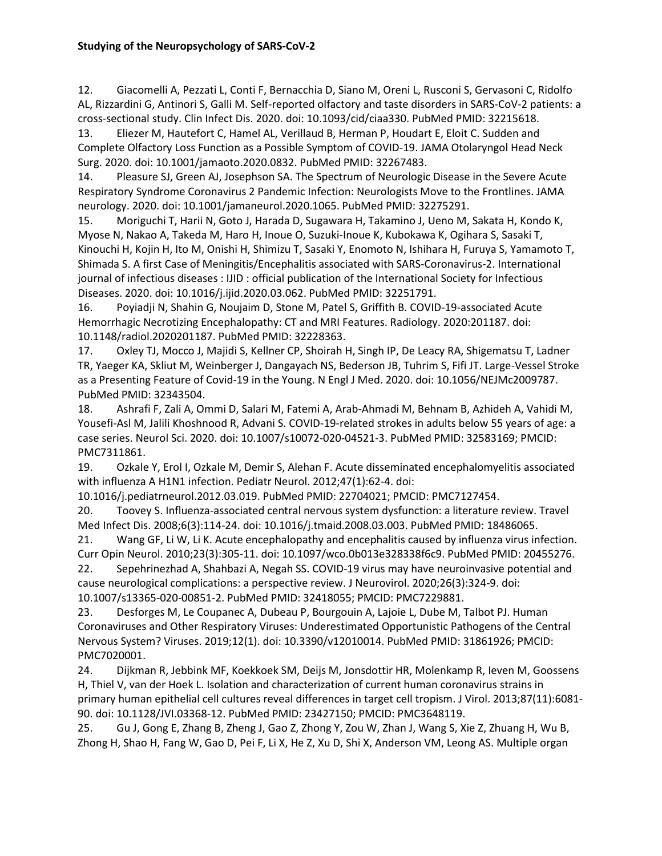12. Giacomelli A, Pezzati L, Conti F, Bernacchia D, Siano M, Oreni L, Rusconi S, Gervasoni C, Ridolfo AL, Rizzardini G, Antinori S, Galli M. Self-reported olfactory and taste disorders in SARS-CoV-2 patients: a cross-sectional study. Clin Infect Dis. 2020. doi: 10.1093/cid/ciaa330. PubMed PMID: 32215618.

13. Eliezer M, Hautefort C, Hamel AL, Verillaud B, Herman P, Houdart E, Eloit C. Sudden and Complete Olfactory Loss Function as a Possible Symptom of COVID-19. JAMA Otolaryngol Head Neck Surg. 2020. doi: 10.1001/jamaoto.2020.0832. PubMed PMID: 32267483.

14. Pleasure SJ, Green AJ, Josephson SA. The Spectrum of Neurologic Disease in the Severe Acute Respiratory Syndrome Coronavirus 2 Pandemic Infection: Neurologists Move to the Frontlines. JAMA neurology. 2020. doi: 10.1001/jamaneurol.2020.1065. PubMed PMID: 32275291.

15. Moriguchi T, Harii N, Goto J, Harada D, Sugawara H, Takamino J, Ueno M, Sakata H, Kondo K, Myose N, Nakao A, Takeda M, Haro H, Inoue O, Suzuki-Inoue K, Kubokawa K, Ogihara S, Sasaki T, Kinouchi H, Kojin H, Ito M, Onishi H, Shimizu T, Sasaki Y, Enomoto N, Ishihara H, Furuya S, Yamamoto T, Shimada S. A first Case of Meningitis/Encephalitis associated with SARS-Coronavirus-2. International journal of infectious diseases : IJID : official publication of the International Society for Infectious Diseases. 2020. doi: 10.1016/j.ijid.2020.03.062. PubMed PMID: 32251791.

16. Poyiadji N, Shahin G, Noujaim D, Stone M, Patel S, Griffith B. COVID-19-associated Acute Hemorrhagic Necrotizing Encephalopathy: CT and MRI Features. Radiology. 2020:201187. doi: 10.1148/radiol.2020201187. PubMed PMID: 32228363.

17. Oxley TJ, Mocco J, Majidi S, Kellner CP, Shoirah H, Singh IP, De Leacy RA, Shigematsu T, Ladner TR, Yaeger KA, Skliut M, Weinberger J, Dangayach NS, Bederson JB, Tuhrim S, Fifi JT. Large-Vessel Stroke as a Presenting Feature of Covid-19 in the Young. N Engl J Med. 2020. doi: 10.1056/NEJMc2009787. PubMed PMID: 32343504.

18. Ashrafi F, Zali A, Ommi D, Salari M, Fatemi A, Arab-Ahmadi M, Behnam B, Azhideh A, Vahidi M, Yousefi-Asl M, Jalili Khoshnood R, Advani S. COVID-19-related strokes in adults below 55 years of age: a case series. Neurol Sci. 2020. doi: 10.1007/s10072-020-04521-3. PubMed PMID: 32583169; PMCID: PMC7311861.

19. Ozkale Y, Erol I, Ozkale M, Demir S, Alehan F. Acute disseminated encephalomyelitis associated with influenza A H1N1 infection. Pediatr Neurol. 2012;47(1):62-4. doi:

10.1016/j.pediatrneurol.2012.03.019. PubMed PMID: 22704021; PMCID: PMC7127454.

20. Toovey S. Influenza-associated central nervous system dysfunction: a literature review. Travel Med Infect Dis. 2008;6(3):114-24. doi: 10.1016/j.tmaid.2008.03.003. PubMed PMID: 18486065.

21. Wang GF, Li W, Li K. Acute encephalopathy and encephalitis caused by influenza virus infection. Curr Opin Neurol. 2010;23(3):305-11. doi: 10.1097/wco.0b013e328338f6c9. PubMed PMID: 20455276.

22. Sepehrinezhad A, Shahbazi A, Negah SS. COVID-19 virus may have neuroinvasive potential and cause neurological complications: a perspective review. J Neurovirol. 2020;26(3):324-9. doi: 10.1007/s13365-020-00851-2. PubMed PMID: 32418055; PMCID: PMC7229881.

23. Desforges M, Le Coupanec A, Dubeau P, Bourgouin A, Lajoie L, Dube M, Talbot PJ. Human Coronaviruses and Other Respiratory Viruses: Underestimated Opportunistic Pathogens of the Central Nervous System? Viruses. 2019;12(1). doi: 10.3390/v12010014. PubMed PMID: 31861926; PMCID: PMC7020001.

24. Dijkman R, Jebbink MF, Koekkoek SM, Deijs M, Jonsdottir HR, Molenkamp R, Ieven M, Goossens H, Thiel V, van der Hoek L. Isolation and characterization of current human coronavirus strains in primary human epithelial cell cultures reveal differences in target cell tropism. J Virol. 2013;87(11):6081- 90. doi: 10.1128/JVI.03368-12. PubMed PMID: 23427150; PMCID: PMC3648119.

25. Gu J, Gong E, Zhang B, Zheng J, Gao Z, Zhong Y, Zou W, Zhan J, Wang S, Xie Z, Zhuang H, Wu B, Zhong H, Shao H, Fang W, Gao D, Pei F, Li X, He Z, Xu D, Shi X, Anderson VM, Leong AS. Multiple organ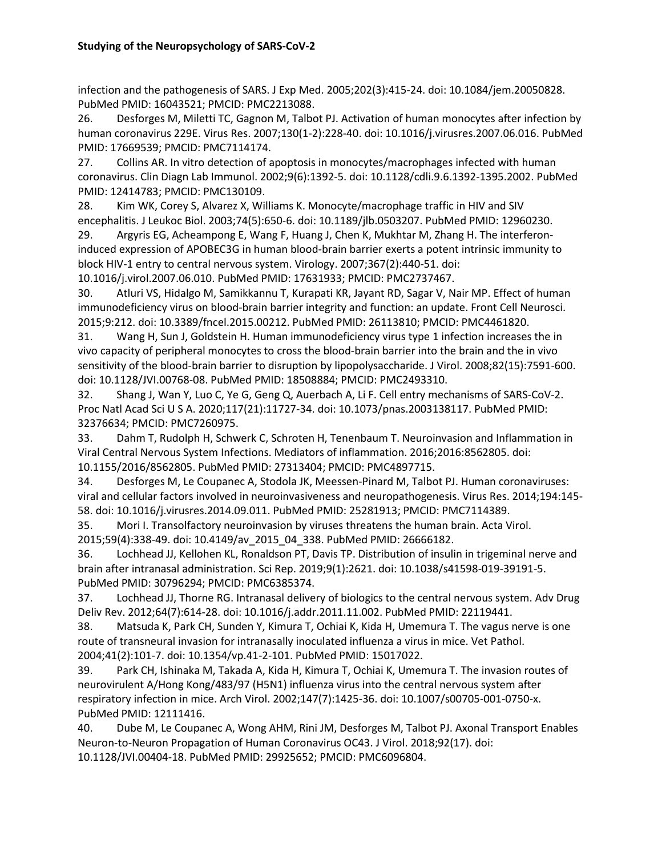infection and the pathogenesis of SARS. J Exp Med. 2005;202(3):415-24. doi: 10.1084/jem.20050828. PubMed PMID: 16043521; PMCID: PMC2213088.

26. Desforges M, Miletti TC, Gagnon M, Talbot PJ. Activation of human monocytes after infection by human coronavirus 229E. Virus Res. 2007;130(1-2):228-40. doi: 10.1016/j.virusres.2007.06.016. PubMed PMID: 17669539; PMCID: PMC7114174.

27. Collins AR. In vitro detection of apoptosis in monocytes/macrophages infected with human coronavirus. Clin Diagn Lab Immunol. 2002;9(6):1392-5. doi: 10.1128/cdli.9.6.1392-1395.2002. PubMed PMID: 12414783; PMCID: PMC130109.

28. Kim WK, Corey S, Alvarez X, Williams K. Monocyte/macrophage traffic in HIV and SIV encephalitis. J Leukoc Biol. 2003;74(5):650-6. doi: 10.1189/jlb.0503207. PubMed PMID: 12960230.

29. Argyris EG, Acheampong E, Wang F, Huang J, Chen K, Mukhtar M, Zhang H. The interferoninduced expression of APOBEC3G in human blood-brain barrier exerts a potent intrinsic immunity to block HIV-1 entry to central nervous system. Virology. 2007;367(2):440-51. doi:

10.1016/j.virol.2007.06.010. PubMed PMID: 17631933; PMCID: PMC2737467.

30. Atluri VS, Hidalgo M, Samikkannu T, Kurapati KR, Jayant RD, Sagar V, Nair MP. Effect of human immunodeficiency virus on blood-brain barrier integrity and function: an update. Front Cell Neurosci. 2015;9:212. doi: 10.3389/fncel.2015.00212. PubMed PMID: 26113810; PMCID: PMC4461820.

31. Wang H, Sun J, Goldstein H. Human immunodeficiency virus type 1 infection increases the in vivo capacity of peripheral monocytes to cross the blood-brain barrier into the brain and the in vivo sensitivity of the blood-brain barrier to disruption by lipopolysaccharide. J Virol. 2008;82(15):7591-600. doi: 10.1128/JVI.00768-08. PubMed PMID: 18508884; PMCID: PMC2493310.

32. Shang J, Wan Y, Luo C, Ye G, Geng Q, Auerbach A, Li F. Cell entry mechanisms of SARS-CoV-2. Proc Natl Acad Sci U S A. 2020;117(21):11727-34. doi: 10.1073/pnas.2003138117. PubMed PMID: 32376634; PMCID: PMC7260975.

33. Dahm T, Rudolph H, Schwerk C, Schroten H, Tenenbaum T. Neuroinvasion and Inflammation in Viral Central Nervous System Infections. Mediators of inflammation. 2016;2016:8562805. doi: 10.1155/2016/8562805. PubMed PMID: 27313404; PMCID: PMC4897715.

34. Desforges M, Le Coupanec A, Stodola JK, Meessen-Pinard M, Talbot PJ. Human coronaviruses: viral and cellular factors involved in neuroinvasiveness and neuropathogenesis. Virus Res. 2014;194:145- 58. doi: 10.1016/j.virusres.2014.09.011. PubMed PMID: 25281913; PMCID: PMC7114389.

35. Mori I. Transolfactory neuroinvasion by viruses threatens the human brain. Acta Virol. 2015;59(4):338-49. doi: 10.4149/av\_2015\_04\_338. PubMed PMID: 26666182.

36. Lochhead JJ, Kellohen KL, Ronaldson PT, Davis TP. Distribution of insulin in trigeminal nerve and brain after intranasal administration. Sci Rep. 2019;9(1):2621. doi: 10.1038/s41598-019-39191-5. PubMed PMID: 30796294; PMCID: PMC6385374.

37. Lochhead JJ, Thorne RG. Intranasal delivery of biologics to the central nervous system. Adv Drug Deliv Rev. 2012;64(7):614-28. doi: 10.1016/j.addr.2011.11.002. PubMed PMID: 22119441.

38. Matsuda K, Park CH, Sunden Y, Kimura T, Ochiai K, Kida H, Umemura T. The vagus nerve is one route of transneural invasion for intranasally inoculated influenza a virus in mice. Vet Pathol. 2004;41(2):101-7. doi: 10.1354/vp.41-2-101. PubMed PMID: 15017022.

39. Park CH, Ishinaka M, Takada A, Kida H, Kimura T, Ochiai K, Umemura T. The invasion routes of neurovirulent A/Hong Kong/483/97 (H5N1) influenza virus into the central nervous system after respiratory infection in mice. Arch Virol. 2002;147(7):1425-36. doi: 10.1007/s00705-001-0750-x. PubMed PMID: 12111416.

40. Dube M, Le Coupanec A, Wong AHM, Rini JM, Desforges M, Talbot PJ. Axonal Transport Enables Neuron-to-Neuron Propagation of Human Coronavirus OC43. J Virol. 2018;92(17). doi: 10.1128/JVI.00404-18. PubMed PMID: 29925652; PMCID: PMC6096804.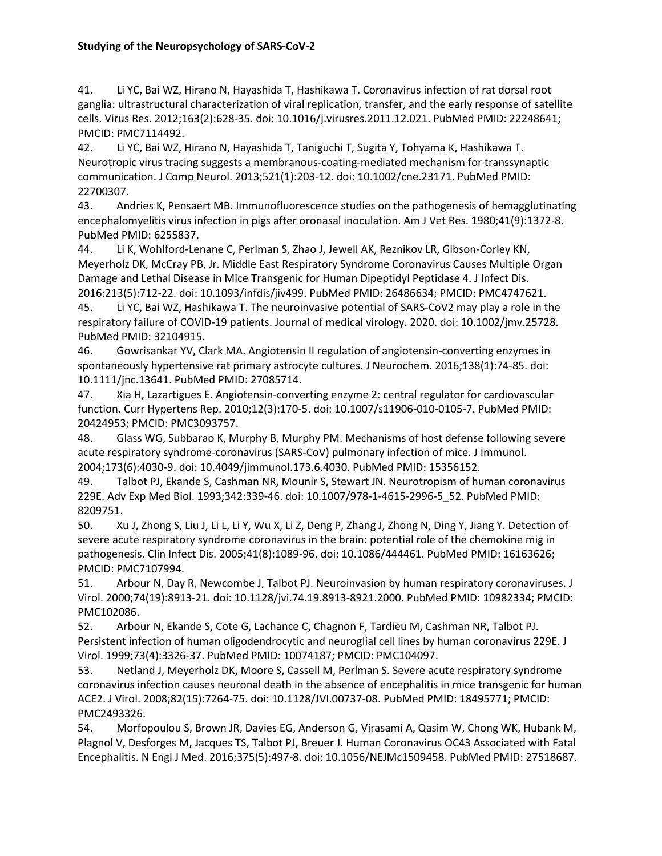41. Li YC, Bai WZ, Hirano N, Hayashida T, Hashikawa T. Coronavirus infection of rat dorsal root ganglia: ultrastructural characterization of viral replication, transfer, and the early response of satellite cells. Virus Res. 2012;163(2):628-35. doi: 10.1016/j.virusres.2011.12.021. PubMed PMID: 22248641; PMCID: PMC7114492.

42. Li YC, Bai WZ, Hirano N, Hayashida T, Taniguchi T, Sugita Y, Tohyama K, Hashikawa T. Neurotropic virus tracing suggests a membranous-coating-mediated mechanism for transsynaptic communication. J Comp Neurol. 2013;521(1):203-12. doi: 10.1002/cne.23171. PubMed PMID: 22700307.

43. Andries K, Pensaert MB. Immunofluorescence studies on the pathogenesis of hemagglutinating encephalomyelitis virus infection in pigs after oronasal inoculation. Am J Vet Res. 1980;41(9):1372-8. PubMed PMID: 6255837.

44. Li K, Wohlford-Lenane C, Perlman S, Zhao J, Jewell AK, Reznikov LR, Gibson-Corley KN, Meyerholz DK, McCray PB, Jr. Middle East Respiratory Syndrome Coronavirus Causes Multiple Organ Damage and Lethal Disease in Mice Transgenic for Human Dipeptidyl Peptidase 4. J Infect Dis. 2016;213(5):712-22. doi: 10.1093/infdis/jiv499. PubMed PMID: 26486634; PMCID: PMC4747621.

45. Li YC, Bai WZ, Hashikawa T. The neuroinvasive potential of SARS-CoV2 may play a role in the respiratory failure of COVID-19 patients. Journal of medical virology. 2020. doi: 10.1002/jmv.25728. PubMed PMID: 32104915.

46. Gowrisankar YV, Clark MA. Angiotensin II regulation of angiotensin-converting enzymes in spontaneously hypertensive rat primary astrocyte cultures. J Neurochem. 2016;138(1):74-85. doi: 10.1111/jnc.13641. PubMed PMID: 27085714.

47. Xia H, Lazartigues E. Angiotensin-converting enzyme 2: central regulator for cardiovascular function. Curr Hypertens Rep. 2010;12(3):170-5. doi: 10.1007/s11906-010-0105-7. PubMed PMID: 20424953; PMCID: PMC3093757.

48. Glass WG, Subbarao K, Murphy B, Murphy PM. Mechanisms of host defense following severe acute respiratory syndrome-coronavirus (SARS-CoV) pulmonary infection of mice. J Immunol. 2004;173(6):4030-9. doi: 10.4049/jimmunol.173.6.4030. PubMed PMID: 15356152.

49. Talbot PJ, Ekande S, Cashman NR, Mounir S, Stewart JN. Neurotropism of human coronavirus 229E. Adv Exp Med Biol. 1993;342:339-46. doi: 10.1007/978-1-4615-2996-5\_52. PubMed PMID: 8209751.

50. Xu J, Zhong S, Liu J, Li L, Li Y, Wu X, Li Z, Deng P, Zhang J, Zhong N, Ding Y, Jiang Y. Detection of severe acute respiratory syndrome coronavirus in the brain: potential role of the chemokine mig in pathogenesis. Clin Infect Dis. 2005;41(8):1089-96. doi: 10.1086/444461. PubMed PMID: 16163626; PMCID: PMC7107994.

51. Arbour N, Day R, Newcombe J, Talbot PJ. Neuroinvasion by human respiratory coronaviruses. J Virol. 2000;74(19):8913-21. doi: 10.1128/jvi.74.19.8913-8921.2000. PubMed PMID: 10982334; PMCID: PMC102086.

52. Arbour N, Ekande S, Cote G, Lachance C, Chagnon F, Tardieu M, Cashman NR, Talbot PJ. Persistent infection of human oligodendrocytic and neuroglial cell lines by human coronavirus 229E. J Virol. 1999;73(4):3326-37. PubMed PMID: 10074187; PMCID: PMC104097.

53. Netland J, Meyerholz DK, Moore S, Cassell M, Perlman S. Severe acute respiratory syndrome coronavirus infection causes neuronal death in the absence of encephalitis in mice transgenic for human ACE2. J Virol. 2008;82(15):7264-75. doi: 10.1128/JVI.00737-08. PubMed PMID: 18495771; PMCID: PMC2493326.

54. Morfopoulou S, Brown JR, Davies EG, Anderson G, Virasami A, Qasim W, Chong WK, Hubank M, Plagnol V, Desforges M, Jacques TS, Talbot PJ, Breuer J. Human Coronavirus OC43 Associated with Fatal Encephalitis. N Engl J Med. 2016;375(5):497-8. doi: 10.1056/NEJMc1509458. PubMed PMID: 27518687.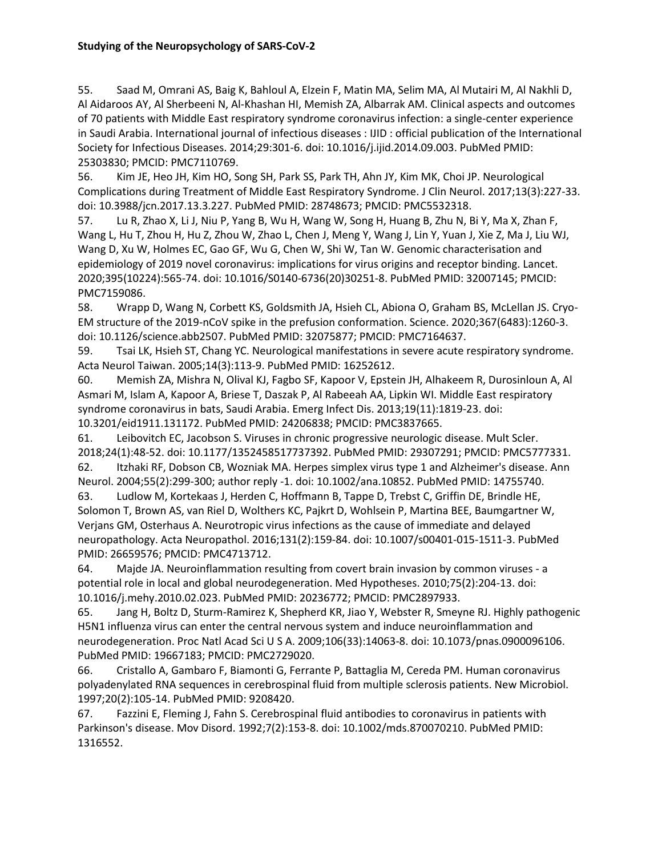55. Saad M, Omrani AS, Baig K, Bahloul A, Elzein F, Matin MA, Selim MA, Al Mutairi M, Al Nakhli D, Al Aidaroos AY, Al Sherbeeni N, Al-Khashan HI, Memish ZA, Albarrak AM. Clinical aspects and outcomes of 70 patients with Middle East respiratory syndrome coronavirus infection: a single-center experience in Saudi Arabia. International journal of infectious diseases : IJID : official publication of the International Society for Infectious Diseases. 2014;29:301-6. doi: 10.1016/j.ijid.2014.09.003. PubMed PMID: 25303830; PMCID: PMC7110769.

56. Kim JE, Heo JH, Kim HO, Song SH, Park SS, Park TH, Ahn JY, Kim MK, Choi JP. Neurological Complications during Treatment of Middle East Respiratory Syndrome. J Clin Neurol. 2017;13(3):227-33. doi: 10.3988/jcn.2017.13.3.227. PubMed PMID: 28748673; PMCID: PMC5532318.

57. Lu R, Zhao X, Li J, Niu P, Yang B, Wu H, Wang W, Song H, Huang B, Zhu N, Bi Y, Ma X, Zhan F, Wang L, Hu T, Zhou H, Hu Z, Zhou W, Zhao L, Chen J, Meng Y, Wang J, Lin Y, Yuan J, Xie Z, Ma J, Liu WJ, Wang D, Xu W, Holmes EC, Gao GF, Wu G, Chen W, Shi W, Tan W. Genomic characterisation and epidemiology of 2019 novel coronavirus: implications for virus origins and receptor binding. Lancet. 2020;395(10224):565-74. doi: 10.1016/S0140-6736(20)30251-8. PubMed PMID: 32007145; PMCID: PMC7159086.

58. Wrapp D, Wang N, Corbett KS, Goldsmith JA, Hsieh CL, Abiona O, Graham BS, McLellan JS. Cryo-EM structure of the 2019-nCoV spike in the prefusion conformation. Science. 2020;367(6483):1260-3. doi: 10.1126/science.abb2507. PubMed PMID: 32075877; PMCID: PMC7164637.

59. Tsai LK, Hsieh ST, Chang YC. Neurological manifestations in severe acute respiratory syndrome. Acta Neurol Taiwan. 2005;14(3):113-9. PubMed PMID: 16252612.

60. Memish ZA, Mishra N, Olival KJ, Fagbo SF, Kapoor V, Epstein JH, Alhakeem R, Durosinloun A, Al Asmari M, Islam A, Kapoor A, Briese T, Daszak P, Al Rabeeah AA, Lipkin WI. Middle East respiratory syndrome coronavirus in bats, Saudi Arabia. Emerg Infect Dis. 2013;19(11):1819-23. doi: 10.3201/eid1911.131172. PubMed PMID: 24206838; PMCID: PMC3837665.

61. Leibovitch EC, Jacobson S. Viruses in chronic progressive neurologic disease. Mult Scler. 2018;24(1):48-52. doi: 10.1177/1352458517737392. PubMed PMID: 29307291; PMCID: PMC5777331.

62. Itzhaki RF, Dobson CB, Wozniak MA. Herpes simplex virus type 1 and Alzheimer's disease. Ann Neurol. 2004;55(2):299-300; author reply -1. doi: 10.1002/ana.10852. PubMed PMID: 14755740.

63. Ludlow M, Kortekaas J, Herden C, Hoffmann B, Tappe D, Trebst C, Griffin DE, Brindle HE, Solomon T, Brown AS, van Riel D, Wolthers KC, Pajkrt D, Wohlsein P, Martina BEE, Baumgartner W, Verjans GM, Osterhaus A. Neurotropic virus infections as the cause of immediate and delayed neuropathology. Acta Neuropathol. 2016;131(2):159-84. doi: 10.1007/s00401-015-1511-3. PubMed PMID: 26659576; PMCID: PMC4713712.

64. Majde JA. Neuroinflammation resulting from covert brain invasion by common viruses - a potential role in local and global neurodegeneration. Med Hypotheses. 2010;75(2):204-13. doi: 10.1016/j.mehy.2010.02.023. PubMed PMID: 20236772; PMCID: PMC2897933.

65. Jang H, Boltz D, Sturm-Ramirez K, Shepherd KR, Jiao Y, Webster R, Smeyne RJ. Highly pathogenic H5N1 influenza virus can enter the central nervous system and induce neuroinflammation and neurodegeneration. Proc Natl Acad Sci U S A. 2009;106(33):14063-8. doi: 10.1073/pnas.0900096106. PubMed PMID: 19667183; PMCID: PMC2729020.

66. Cristallo A, Gambaro F, Biamonti G, Ferrante P, Battaglia M, Cereda PM. Human coronavirus polyadenylated RNA sequences in cerebrospinal fluid from multiple sclerosis patients. New Microbiol. 1997;20(2):105-14. PubMed PMID: 9208420.

67. Fazzini E, Fleming J, Fahn S. Cerebrospinal fluid antibodies to coronavirus in patients with Parkinson's disease. Mov Disord. 1992;7(2):153-8. doi: 10.1002/mds.870070210. PubMed PMID: 1316552.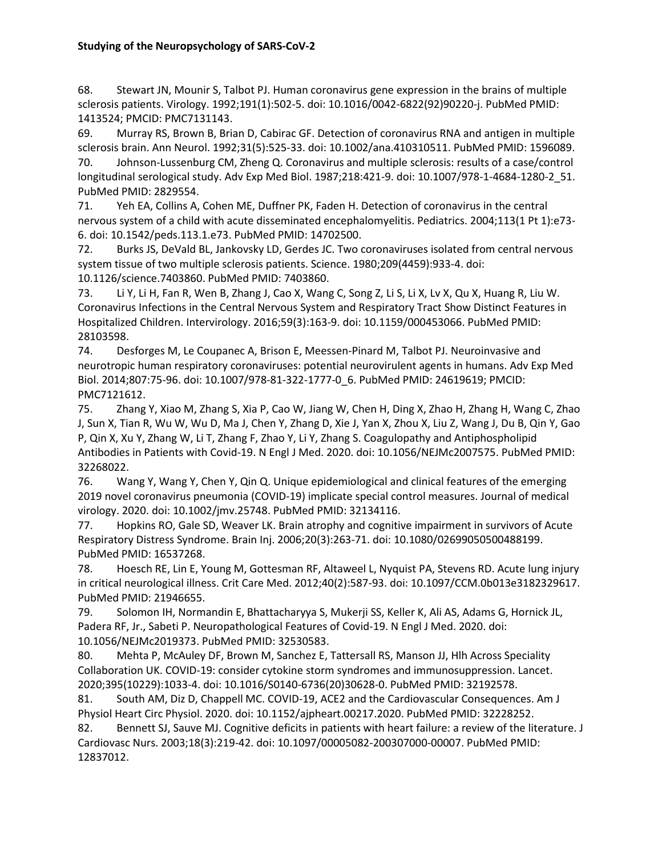68. Stewart JN, Mounir S, Talbot PJ. Human coronavirus gene expression in the brains of multiple sclerosis patients. Virology. 1992;191(1):502-5. doi: 10.1016/0042-6822(92)90220-j. PubMed PMID: 1413524; PMCID: PMC7131143.

69. Murray RS, Brown B, Brian D, Cabirac GF. Detection of coronavirus RNA and antigen in multiple sclerosis brain. Ann Neurol. 1992;31(5):525-33. doi: 10.1002/ana.410310511. PubMed PMID: 1596089. 70. Johnson-Lussenburg CM, Zheng Q. Coronavirus and multiple sclerosis: results of a case/control

longitudinal serological study. Adv Exp Med Biol. 1987;218:421-9. doi: 10.1007/978-1-4684-1280-2\_51. PubMed PMID: 2829554.

71. Yeh EA, Collins A, Cohen ME, Duffner PK, Faden H. Detection of coronavirus in the central nervous system of a child with acute disseminated encephalomyelitis. Pediatrics. 2004;113(1 Pt 1):e73- 6. doi: 10.1542/peds.113.1.e73. PubMed PMID: 14702500.

72. Burks JS, DeVald BL, Jankovsky LD, Gerdes JC. Two coronaviruses isolated from central nervous system tissue of two multiple sclerosis patients. Science. 1980;209(4459):933-4. doi: 10.1126/science.7403860. PubMed PMID: 7403860.

73. Li Y, Li H, Fan R, Wen B, Zhang J, Cao X, Wang C, Song Z, Li S, Li X, Lv X, Qu X, Huang R, Liu W. Coronavirus Infections in the Central Nervous System and Respiratory Tract Show Distinct Features in Hospitalized Children. Intervirology. 2016;59(3):163-9. doi: 10.1159/000453066. PubMed PMID: 28103598.

74. Desforges M, Le Coupanec A, Brison E, Meessen-Pinard M, Talbot PJ. Neuroinvasive and neurotropic human respiratory coronaviruses: potential neurovirulent agents in humans. Adv Exp Med Biol. 2014;807:75-96. doi: 10.1007/978-81-322-1777-0\_6. PubMed PMID: 24619619; PMCID: PMC7121612.

75. Zhang Y, Xiao M, Zhang S, Xia P, Cao W, Jiang W, Chen H, Ding X, Zhao H, Zhang H, Wang C, Zhao J, Sun X, Tian R, Wu W, Wu D, Ma J, Chen Y, Zhang D, Xie J, Yan X, Zhou X, Liu Z, Wang J, Du B, Qin Y, Gao P, Qin X, Xu Y, Zhang W, Li T, Zhang F, Zhao Y, Li Y, Zhang S. Coagulopathy and Antiphospholipid Antibodies in Patients with Covid-19. N Engl J Med. 2020. doi: 10.1056/NEJMc2007575. PubMed PMID: 32268022.

76. Wang Y, Wang Y, Chen Y, Qin Q. Unique epidemiological and clinical features of the emerging 2019 novel coronavirus pneumonia (COVID-19) implicate special control measures. Journal of medical virology. 2020. doi: 10.1002/jmv.25748. PubMed PMID: 32134116.

77. Hopkins RO, Gale SD, Weaver LK. Brain atrophy and cognitive impairment in survivors of Acute Respiratory Distress Syndrome. Brain Inj. 2006;20(3):263-71. doi: 10.1080/02699050500488199. PubMed PMID: 16537268.

78. Hoesch RE, Lin E, Young M, Gottesman RF, Altaweel L, Nyquist PA, Stevens RD. Acute lung injury in critical neurological illness. Crit Care Med. 2012;40(2):587-93. doi: 10.1097/CCM.0b013e3182329617. PubMed PMID: 21946655.

79. Solomon IH, Normandin E, Bhattacharyya S, Mukerji SS, Keller K, Ali AS, Adams G, Hornick JL, Padera RF, Jr., Sabeti P. Neuropathological Features of Covid-19. N Engl J Med. 2020. doi: 10.1056/NEJMc2019373. PubMed PMID: 32530583.

80. Mehta P, McAuley DF, Brown M, Sanchez E, Tattersall RS, Manson JJ, Hlh Across Speciality Collaboration UK. COVID-19: consider cytokine storm syndromes and immunosuppression. Lancet. 2020;395(10229):1033-4. doi: 10.1016/S0140-6736(20)30628-0. PubMed PMID: 32192578.

81. South AM, Diz D, Chappell MC. COVID-19, ACE2 and the Cardiovascular Consequences. Am J Physiol Heart Circ Physiol. 2020. doi: 10.1152/ajpheart.00217.2020. PubMed PMID: 32228252.

82. Bennett SJ, Sauve MJ. Cognitive deficits in patients with heart failure: a review of the literature. J Cardiovasc Nurs. 2003;18(3):219-42. doi: 10.1097/00005082-200307000-00007. PubMed PMID: 12837012.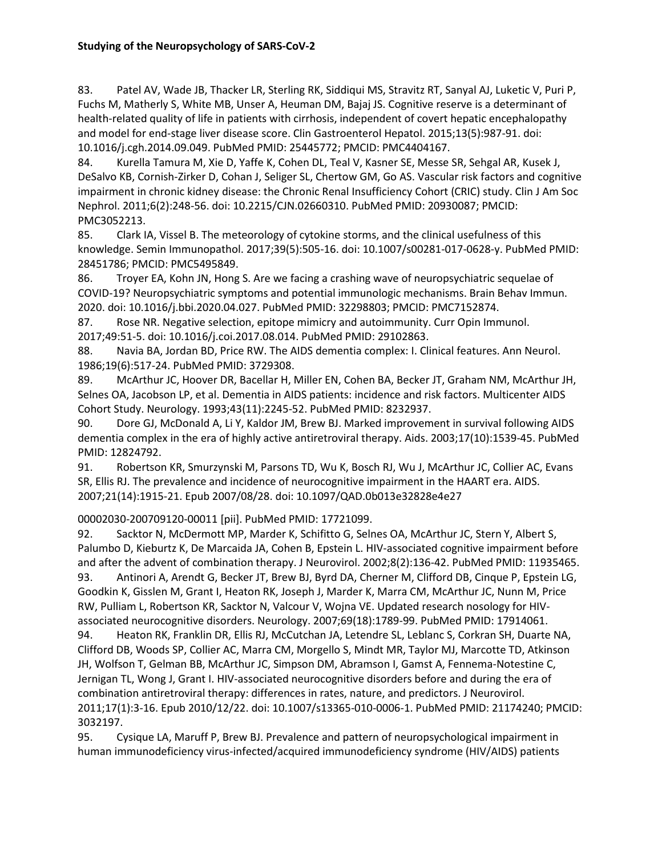83. Patel AV, Wade JB, Thacker LR, Sterling RK, Siddiqui MS, Stravitz RT, Sanyal AJ, Luketic V, Puri P, Fuchs M, Matherly S, White MB, Unser A, Heuman DM, Bajaj JS. Cognitive reserve is a determinant of health-related quality of life in patients with cirrhosis, independent of covert hepatic encephalopathy and model for end-stage liver disease score. Clin Gastroenterol Hepatol. 2015;13(5):987-91. doi: 10.1016/j.cgh.2014.09.049. PubMed PMID: 25445772; PMCID: PMC4404167.

84. Kurella Tamura M, Xie D, Yaffe K, Cohen DL, Teal V, Kasner SE, Messe SR, Sehgal AR, Kusek J, DeSalvo KB, Cornish-Zirker D, Cohan J, Seliger SL, Chertow GM, Go AS. Vascular risk factors and cognitive impairment in chronic kidney disease: the Chronic Renal Insufficiency Cohort (CRIC) study. Clin J Am Soc Nephrol. 2011;6(2):248-56. doi: 10.2215/CJN.02660310. PubMed PMID: 20930087; PMCID: PMC3052213.

85. Clark IA, Vissel B. The meteorology of cytokine storms, and the clinical usefulness of this knowledge. Semin Immunopathol. 2017;39(5):505-16. doi: 10.1007/s00281-017-0628-y. PubMed PMID: 28451786; PMCID: PMC5495849.

86. Troyer EA, Kohn JN, Hong S. Are we facing a crashing wave of neuropsychiatric sequelae of COVID-19? Neuropsychiatric symptoms and potential immunologic mechanisms. Brain Behav Immun. 2020. doi: 10.1016/j.bbi.2020.04.027. PubMed PMID: 32298803; PMCID: PMC7152874.

87. Rose NR. Negative selection, epitope mimicry and autoimmunity. Curr Opin Immunol.

2017;49:51-5. doi: 10.1016/j.coi.2017.08.014. PubMed PMID: 29102863.

88. Navia BA, Jordan BD, Price RW. The AIDS dementia complex: I. Clinical features. Ann Neurol. 1986;19(6):517-24. PubMed PMID: 3729308.

89. McArthur JC, Hoover DR, Bacellar H, Miller EN, Cohen BA, Becker JT, Graham NM, McArthur JH, Selnes OA, Jacobson LP, et al. Dementia in AIDS patients: incidence and risk factors. Multicenter AIDS Cohort Study. Neurology. 1993;43(11):2245-52. PubMed PMID: 8232937.

90. Dore GJ, McDonald A, Li Y, Kaldor JM, Brew BJ. Marked improvement in survival following AIDS dementia complex in the era of highly active antiretroviral therapy. Aids. 2003;17(10):1539-45. PubMed PMID: 12824792.

91. Robertson KR, Smurzynski M, Parsons TD, Wu K, Bosch RJ, Wu J, McArthur JC, Collier AC, Evans SR, Ellis RJ. The prevalence and incidence of neurocognitive impairment in the HAART era. AIDS. 2007;21(14):1915-21. Epub 2007/08/28. doi: 10.1097/QAD.0b013e32828e4e27

00002030-200709120-00011 [pii]. PubMed PMID: 17721099.

92. Sacktor N, McDermott MP, Marder K, Schifitto G, Selnes OA, McArthur JC, Stern Y, Albert S, Palumbo D, Kieburtz K, De Marcaida JA, Cohen B, Epstein L. HIV-associated cognitive impairment before and after the advent of combination therapy. J Neurovirol. 2002;8(2):136-42. PubMed PMID: 11935465. 93. Antinori A, Arendt G, Becker JT, Brew BJ, Byrd DA, Cherner M, Clifford DB, Cinque P, Epstein LG, Goodkin K, Gisslen M, Grant I, Heaton RK, Joseph J, Marder K, Marra CM, McArthur JC, Nunn M, Price RW, Pulliam L, Robertson KR, Sacktor N, Valcour V, Wojna VE. Updated research nosology for HIVassociated neurocognitive disorders. Neurology. 2007;69(18):1789-99. PubMed PMID: 17914061. 94. Heaton RK, Franklin DR, Ellis RJ, McCutchan JA, Letendre SL, Leblanc S, Corkran SH, Duarte NA, Clifford DB, Woods SP, Collier AC, Marra CM, Morgello S, Mindt MR, Taylor MJ, Marcotte TD, Atkinson JH, Wolfson T, Gelman BB, McArthur JC, Simpson DM, Abramson I, Gamst A, Fennema-Notestine C, Jernigan TL, Wong J, Grant I. HIV-associated neurocognitive disorders before and during the era of combination antiretroviral therapy: differences in rates, nature, and predictors. J Neurovirol. 2011;17(1):3-16. Epub 2010/12/22. doi: 10.1007/s13365-010-0006-1. PubMed PMID: 21174240; PMCID: 3032197.

95. Cysique LA, Maruff P, Brew BJ. Prevalence and pattern of neuropsychological impairment in human immunodeficiency virus-infected/acquired immunodeficiency syndrome (HIV/AIDS) patients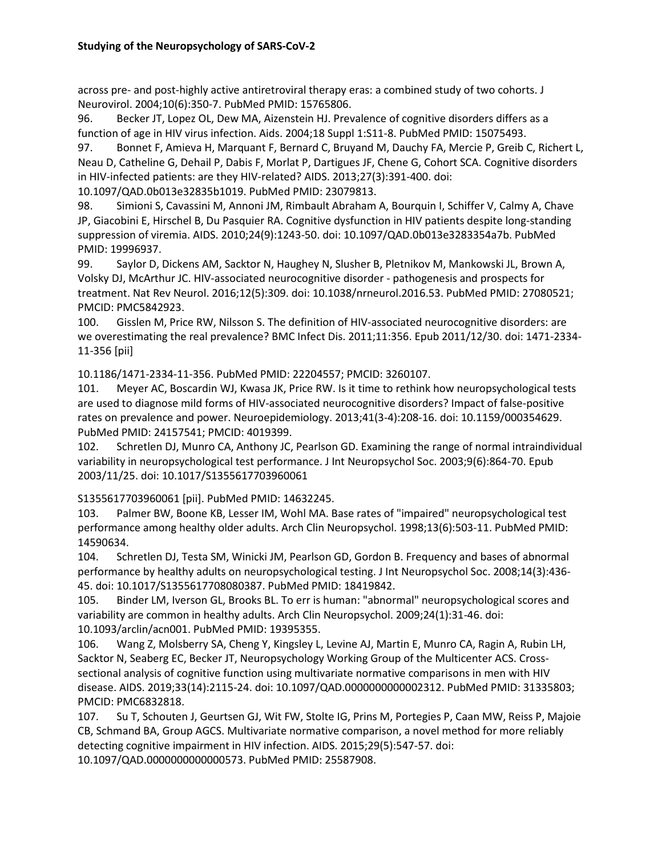across pre- and post-highly active antiretroviral therapy eras: a combined study of two cohorts. J Neurovirol. 2004;10(6):350-7. PubMed PMID: 15765806.

96. Becker JT, Lopez OL, Dew MA, Aizenstein HJ. Prevalence of cognitive disorders differs as a function of age in HIV virus infection. Aids. 2004;18 Suppl 1:S11-8. PubMed PMID: 15075493.

97. Bonnet F, Amieva H, Marquant F, Bernard C, Bruyand M, Dauchy FA, Mercie P, Greib C, Richert L, Neau D, Catheline G, Dehail P, Dabis F, Morlat P, Dartigues JF, Chene G, Cohort SCA. Cognitive disorders in HIV-infected patients: are they HIV-related? AIDS. 2013;27(3):391-400. doi:

10.1097/QAD.0b013e32835b1019. PubMed PMID: 23079813.

98. Simioni S, Cavassini M, Annoni JM, Rimbault Abraham A, Bourquin I, Schiffer V, Calmy A, Chave JP, Giacobini E, Hirschel B, Du Pasquier RA. Cognitive dysfunction in HIV patients despite long-standing suppression of viremia. AIDS. 2010;24(9):1243-50. doi: 10.1097/QAD.0b013e3283354a7b. PubMed PMID: 19996937.

99. Saylor D, Dickens AM, Sacktor N, Haughey N, Slusher B, Pletnikov M, Mankowski JL, Brown A, Volsky DJ, McArthur JC. HIV-associated neurocognitive disorder - pathogenesis and prospects for treatment. Nat Rev Neurol. 2016;12(5):309. doi: 10.1038/nrneurol.2016.53. PubMed PMID: 27080521; PMCID: PMC5842923.

100. Gisslen M, Price RW, Nilsson S. The definition of HIV-associated neurocognitive disorders: are we overestimating the real prevalence? BMC Infect Dis. 2011;11:356. Epub 2011/12/30. doi: 1471-2334- 11-356 [pii]

10.1186/1471-2334-11-356. PubMed PMID: 22204557; PMCID: 3260107.

101. Meyer AC, Boscardin WJ, Kwasa JK, Price RW. Is it time to rethink how neuropsychological tests are used to diagnose mild forms of HIV-associated neurocognitive disorders? Impact of false-positive rates on prevalence and power. Neuroepidemiology. 2013;41(3-4):208-16. doi: 10.1159/000354629. PubMed PMID: 24157541; PMCID: 4019399.

102. Schretlen DJ, Munro CA, Anthony JC, Pearlson GD. Examining the range of normal intraindividual variability in neuropsychological test performance. J Int Neuropsychol Soc. 2003;9(6):864-70. Epub 2003/11/25. doi: 10.1017/S1355617703960061

S1355617703960061 [pii]. PubMed PMID: 14632245.

103. Palmer BW, Boone KB, Lesser IM, Wohl MA. Base rates of "impaired" neuropsychological test performance among healthy older adults. Arch Clin Neuropsychol. 1998;13(6):503-11. PubMed PMID: 14590634.

104. Schretlen DJ, Testa SM, Winicki JM, Pearlson GD, Gordon B. Frequency and bases of abnormal performance by healthy adults on neuropsychological testing. J Int Neuropsychol Soc. 2008;14(3):436- 45. doi: 10.1017/S1355617708080387. PubMed PMID: 18419842.

105. Binder LM, Iverson GL, Brooks BL. To err is human: "abnormal" neuropsychological scores and variability are common in healthy adults. Arch Clin Neuropsychol. 2009;24(1):31-46. doi: 10.1093/arclin/acn001. PubMed PMID: 19395355.

106. Wang Z, Molsberry SA, Cheng Y, Kingsley L, Levine AJ, Martin E, Munro CA, Ragin A, Rubin LH, Sacktor N, Seaberg EC, Becker JT, Neuropsychology Working Group of the Multicenter ACS. Crosssectional analysis of cognitive function using multivariate normative comparisons in men with HIV disease. AIDS. 2019;33(14):2115-24. doi: 10.1097/QAD.0000000000002312. PubMed PMID: 31335803; PMCID: PMC6832818.

107. Su T, Schouten J, Geurtsen GJ, Wit FW, Stolte IG, Prins M, Portegies P, Caan MW, Reiss P, Majoie CB, Schmand BA, Group AGCS. Multivariate normative comparison, a novel method for more reliably detecting cognitive impairment in HIV infection. AIDS. 2015;29(5):547-57. doi:

10.1097/QAD.0000000000000573. PubMed PMID: 25587908.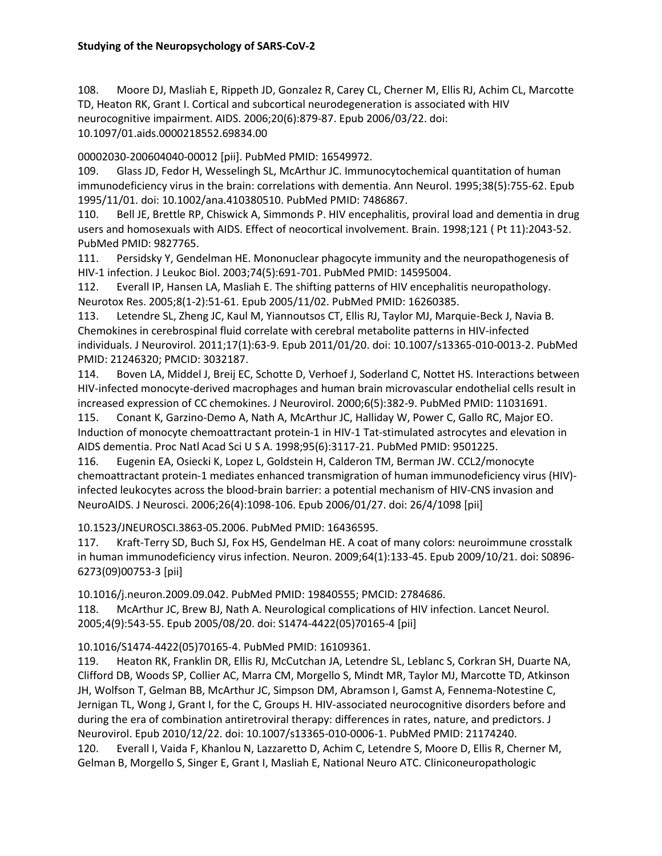108. Moore DJ, Masliah E, Rippeth JD, Gonzalez R, Carey CL, Cherner M, Ellis RJ, Achim CL, Marcotte TD, Heaton RK, Grant I. Cortical and subcortical neurodegeneration is associated with HIV neurocognitive impairment. AIDS. 2006;20(6):879-87. Epub 2006/03/22. doi: 10.1097/01.aids.0000218552.69834.00

00002030-200604040-00012 [pii]. PubMed PMID: 16549972.

109. Glass JD, Fedor H, Wesselingh SL, McArthur JC. Immunocytochemical quantitation of human immunodeficiency virus in the brain: correlations with dementia. Ann Neurol. 1995;38(5):755-62. Epub 1995/11/01. doi: 10.1002/ana.410380510. PubMed PMID: 7486867.

110. Bell JE, Brettle RP, Chiswick A, Simmonds P. HIV encephalitis, proviral load and dementia in drug users and homosexuals with AIDS. Effect of neocortical involvement. Brain. 1998;121 ( Pt 11):2043-52. PubMed PMID: 9827765.

111. Persidsky Y, Gendelman HE. Mononuclear phagocyte immunity and the neuropathogenesis of HIV-1 infection. J Leukoc Biol. 2003;74(5):691-701. PubMed PMID: 14595004.

112. Everall IP, Hansen LA, Masliah E. The shifting patterns of HIV encephalitis neuropathology. Neurotox Res. 2005;8(1-2):51-61. Epub 2005/11/02. PubMed PMID: 16260385.

113. Letendre SL, Zheng JC, Kaul M, Yiannoutsos CT, Ellis RJ, Taylor MJ, Marquie-Beck J, Navia B. Chemokines in cerebrospinal fluid correlate with cerebral metabolite patterns in HIV-infected individuals. J Neurovirol. 2011;17(1):63-9. Epub 2011/01/20. doi: 10.1007/s13365-010-0013-2. PubMed PMID: 21246320; PMCID: 3032187.

114. Boven LA, Middel J, Breij EC, Schotte D, Verhoef J, Soderland C, Nottet HS. Interactions between HIV-infected monocyte-derived macrophages and human brain microvascular endothelial cells result in increased expression of CC chemokines. J Neurovirol. 2000;6(5):382-9. PubMed PMID: 11031691.

115. Conant K, Garzino-Demo A, Nath A, McArthur JC, Halliday W, Power C, Gallo RC, Major EO. Induction of monocyte chemoattractant protein-1 in HIV-1 Tat-stimulated astrocytes and elevation in AIDS dementia. Proc Natl Acad Sci U S A. 1998;95(6):3117-21. PubMed PMID: 9501225.

116. Eugenin EA, Osiecki K, Lopez L, Goldstein H, Calderon TM, Berman JW. CCL2/monocyte chemoattractant protein-1 mediates enhanced transmigration of human immunodeficiency virus (HIV) infected leukocytes across the blood-brain barrier: a potential mechanism of HIV-CNS invasion and NeuroAIDS. J Neurosci. 2006;26(4):1098-106. Epub 2006/01/27. doi: 26/4/1098 [pii]

10.1523/JNEUROSCI.3863-05.2006. PubMed PMID: 16436595.

117. Kraft-Terry SD, Buch SJ, Fox HS, Gendelman HE. A coat of many colors: neuroimmune crosstalk in human immunodeficiency virus infection. Neuron. 2009;64(1):133-45. Epub 2009/10/21. doi: S0896- 6273(09)00753-3 [pii]

10.1016/j.neuron.2009.09.042. PubMed PMID: 19840555; PMCID: 2784686.

118. McArthur JC, Brew BJ, Nath A. Neurological complications of HIV infection. Lancet Neurol. 2005;4(9):543-55. Epub 2005/08/20. doi: S1474-4422(05)70165-4 [pii]

10.1016/S1474-4422(05)70165-4. PubMed PMID: 16109361.

119. Heaton RK, Franklin DR, Ellis RJ, McCutchan JA, Letendre SL, Leblanc S, Corkran SH, Duarte NA, Clifford DB, Woods SP, Collier AC, Marra CM, Morgello S, Mindt MR, Taylor MJ, Marcotte TD, Atkinson JH, Wolfson T, Gelman BB, McArthur JC, Simpson DM, Abramson I, Gamst A, Fennema-Notestine C, Jernigan TL, Wong J, Grant I, for the C, Groups H. HIV-associated neurocognitive disorders before and during the era of combination antiretroviral therapy: differences in rates, nature, and predictors. J Neurovirol. Epub 2010/12/22. doi: 10.1007/s13365-010-0006-1. PubMed PMID: 21174240. 120. Everall I, Vaida F, Khanlou N, Lazzaretto D, Achim C, Letendre S, Moore D, Ellis R, Cherner M, Gelman B, Morgello S, Singer E, Grant I, Masliah E, National Neuro ATC. Cliniconeuropathologic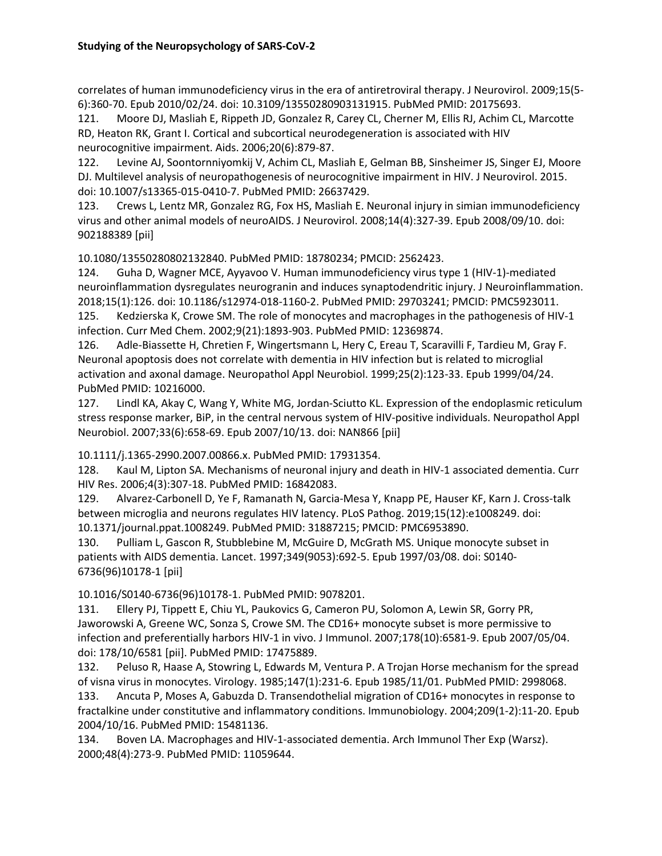correlates of human immunodeficiency virus in the era of antiretroviral therapy. J Neurovirol. 2009;15(5- 6):360-70. Epub 2010/02/24. doi: 10.3109/13550280903131915. PubMed PMID: 20175693.

121. Moore DJ, Masliah E, Rippeth JD, Gonzalez R, Carey CL, Cherner M, Ellis RJ, Achim CL, Marcotte RD, Heaton RK, Grant I. Cortical and subcortical neurodegeneration is associated with HIV neurocognitive impairment. Aids. 2006;20(6):879-87.

122. Levine AJ, Soontornniyomkij V, Achim CL, Masliah E, Gelman BB, Sinsheimer JS, Singer EJ, Moore DJ. Multilevel analysis of neuropathogenesis of neurocognitive impairment in HIV. J Neurovirol. 2015. doi: 10.1007/s13365-015-0410-7. PubMed PMID: 26637429.

123. Crews L, Lentz MR, Gonzalez RG, Fox HS, Masliah E. Neuronal injury in simian immunodeficiency virus and other animal models of neuroAIDS. J Neurovirol. 2008;14(4):327-39. Epub 2008/09/10. doi: 902188389 [pii]

10.1080/13550280802132840. PubMed PMID: 18780234; PMCID: 2562423.

124. Guha D, Wagner MCE, Ayyavoo V. Human immunodeficiency virus type 1 (HIV-1)-mediated neuroinflammation dysregulates neurogranin and induces synaptodendritic injury. J Neuroinflammation. 2018;15(1):126. doi: 10.1186/s12974-018-1160-2. PubMed PMID: 29703241; PMCID: PMC5923011. 125. Kedzierska K, Crowe SM. The role of monocytes and macrophages in the pathogenesis of HIV-1 infection. Curr Med Chem. 2002;9(21):1893-903. PubMed PMID: 12369874.

126. Adle-Biassette H, Chretien F, Wingertsmann L, Hery C, Ereau T, Scaravilli F, Tardieu M, Gray F. Neuronal apoptosis does not correlate with dementia in HIV infection but is related to microglial activation and axonal damage. Neuropathol Appl Neurobiol. 1999;25(2):123-33. Epub 1999/04/24. PubMed PMID: 10216000.

127. Lindl KA, Akay C, Wang Y, White MG, Jordan-Sciutto KL. Expression of the endoplasmic reticulum stress response marker, BiP, in the central nervous system of HIV-positive individuals. Neuropathol Appl Neurobiol. 2007;33(6):658-69. Epub 2007/10/13. doi: NAN866 [pii]

10.1111/j.1365-2990.2007.00866.x. PubMed PMID: 17931354.

128. Kaul M, Lipton SA. Mechanisms of neuronal injury and death in HIV-1 associated dementia. Curr HIV Res. 2006;4(3):307-18. PubMed PMID: 16842083.

129. Alvarez-Carbonell D, Ye F, Ramanath N, Garcia-Mesa Y, Knapp PE, Hauser KF, Karn J. Cross-talk between microglia and neurons regulates HIV latency. PLoS Pathog. 2019;15(12):e1008249. doi: 10.1371/journal.ppat.1008249. PubMed PMID: 31887215; PMCID: PMC6953890.

130. Pulliam L, Gascon R, Stubblebine M, McGuire D, McGrath MS. Unique monocyte subset in patients with AIDS dementia. Lancet. 1997;349(9053):692-5. Epub 1997/03/08. doi: S0140- 6736(96)10178-1 [pii]

10.1016/S0140-6736(96)10178-1. PubMed PMID: 9078201.

131. Ellery PJ, Tippett E, Chiu YL, Paukovics G, Cameron PU, Solomon A, Lewin SR, Gorry PR, Jaworowski A, Greene WC, Sonza S, Crowe SM. The CD16+ monocyte subset is more permissive to infection and preferentially harbors HIV-1 in vivo. J Immunol. 2007;178(10):6581-9. Epub 2007/05/04. doi: 178/10/6581 [pii]. PubMed PMID: 17475889.

132. Peluso R, Haase A, Stowring L, Edwards M, Ventura P. A Trojan Horse mechanism for the spread of visna virus in monocytes. Virology. 1985;147(1):231-6. Epub 1985/11/01. PubMed PMID: 2998068.

133. Ancuta P, Moses A, Gabuzda D. Transendothelial migration of CD16+ monocytes in response to fractalkine under constitutive and inflammatory conditions. Immunobiology. 2004;209(1-2):11-20. Epub 2004/10/16. PubMed PMID: 15481136.

134. Boven LA. Macrophages and HIV-1-associated dementia. Arch Immunol Ther Exp (Warsz). 2000;48(4):273-9. PubMed PMID: 11059644.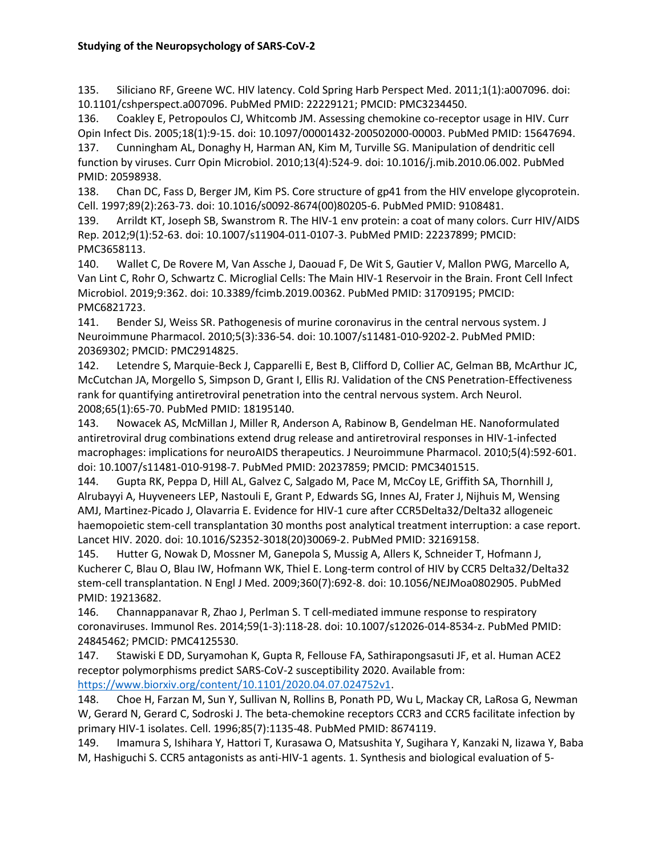135. Siliciano RF, Greene WC. HIV latency. Cold Spring Harb Perspect Med. 2011;1(1):a007096. doi: 10.1101/cshperspect.a007096. PubMed PMID: 22229121; PMCID: PMC3234450.

136. Coakley E, Petropoulos CJ, Whitcomb JM. Assessing chemokine co-receptor usage in HIV. Curr Opin Infect Dis. 2005;18(1):9-15. doi: 10.1097/00001432-200502000-00003. PubMed PMID: 15647694.

137. Cunningham AL, Donaghy H, Harman AN, Kim M, Turville SG. Manipulation of dendritic cell function by viruses. Curr Opin Microbiol. 2010;13(4):524-9. doi: 10.1016/j.mib.2010.06.002. PubMed PMID: 20598938.

138. Chan DC, Fass D, Berger JM, Kim PS. Core structure of gp41 from the HIV envelope glycoprotein. Cell. 1997;89(2):263-73. doi: 10.1016/s0092-8674(00)80205-6. PubMed PMID: 9108481.

139. Arrildt KT, Joseph SB, Swanstrom R. The HIV-1 env protein: a coat of many colors. Curr HIV/AIDS Rep. 2012;9(1):52-63. doi: 10.1007/s11904-011-0107-3. PubMed PMID: 22237899; PMCID: PMC3658113.

140. Wallet C, De Rovere M, Van Assche J, Daouad F, De Wit S, Gautier V, Mallon PWG, Marcello A, Van Lint C, Rohr O, Schwartz C. Microglial Cells: The Main HIV-1 Reservoir in the Brain. Front Cell Infect Microbiol. 2019;9:362. doi: 10.3389/fcimb.2019.00362. PubMed PMID: 31709195; PMCID: PMC6821723.

141. Bender SJ, Weiss SR. Pathogenesis of murine coronavirus in the central nervous system. J Neuroimmune Pharmacol. 2010;5(3):336-54. doi: 10.1007/s11481-010-9202-2. PubMed PMID: 20369302; PMCID: PMC2914825.

142. Letendre S, Marquie-Beck J, Capparelli E, Best B, Clifford D, Collier AC, Gelman BB, McArthur JC, McCutchan JA, Morgello S, Simpson D, Grant I, Ellis RJ. Validation of the CNS Penetration-Effectiveness rank for quantifying antiretroviral penetration into the central nervous system. Arch Neurol. 2008;65(1):65-70. PubMed PMID: 18195140.

143. Nowacek AS, McMillan J, Miller R, Anderson A, Rabinow B, Gendelman HE. Nanoformulated antiretroviral drug combinations extend drug release and antiretroviral responses in HIV-1-infected macrophages: implications for neuroAIDS therapeutics. J Neuroimmune Pharmacol. 2010;5(4):592-601. doi: 10.1007/s11481-010-9198-7. PubMed PMID: 20237859; PMCID: PMC3401515.

144. Gupta RK, Peppa D, Hill AL, Galvez C, Salgado M, Pace M, McCoy LE, Griffith SA, Thornhill J, Alrubayyi A, Huyveneers LEP, Nastouli E, Grant P, Edwards SG, Innes AJ, Frater J, Nijhuis M, Wensing AMJ, Martinez-Picado J, Olavarria E. Evidence for HIV-1 cure after CCR5Delta32/Delta32 allogeneic haemopoietic stem-cell transplantation 30 months post analytical treatment interruption: a case report. Lancet HIV. 2020. doi: 10.1016/S2352-3018(20)30069-2. PubMed PMID: 32169158.

145. Hutter G, Nowak D, Mossner M, Ganepola S, Mussig A, Allers K, Schneider T, Hofmann J, Kucherer C, Blau O, Blau IW, Hofmann WK, Thiel E. Long-term control of HIV by CCR5 Delta32/Delta32 stem-cell transplantation. N Engl J Med. 2009;360(7):692-8. doi: 10.1056/NEJMoa0802905. PubMed PMID: 19213682.

146. Channappanavar R, Zhao J, Perlman S. T cell-mediated immune response to respiratory coronaviruses. Immunol Res. 2014;59(1-3):118-28. doi: 10.1007/s12026-014-8534-z. PubMed PMID: 24845462; PMCID: PMC4125530.

147. Stawiski E DD, Suryamohan K, Gupta R, Fellouse FA, Sathirapongsasuti JF, et al. Human ACE2 receptor polymorphisms predict SARS-CoV-2 susceptibility 2020. Available from: [https://www.biorxiv.org/content/10.1101/2020.04.07.024752v1.](https://www.biorxiv.org/content/10.1101/2020.04.07.024752v1)

148. Choe H, Farzan M, Sun Y, Sullivan N, Rollins B, Ponath PD, Wu L, Mackay CR, LaRosa G, Newman W, Gerard N, Gerard C, Sodroski J. The beta-chemokine receptors CCR3 and CCR5 facilitate infection by primary HIV-1 isolates. Cell. 1996;85(7):1135-48. PubMed PMID: 8674119.

149. Imamura S, Ishihara Y, Hattori T, Kurasawa O, Matsushita Y, Sugihara Y, Kanzaki N, Iizawa Y, Baba M, Hashiguchi S. CCR5 antagonists as anti-HIV-1 agents. 1. Synthesis and biological evaluation of 5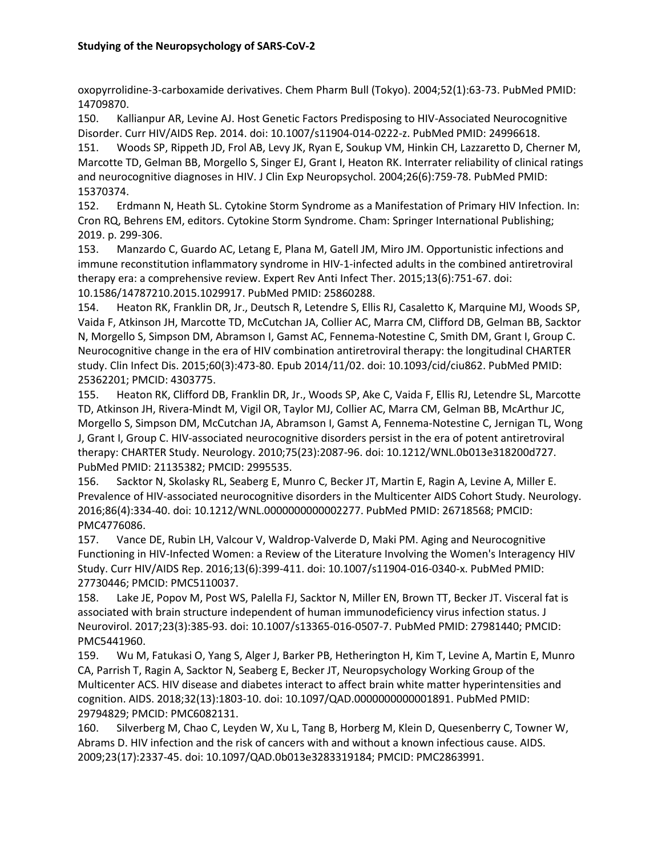oxopyrrolidine-3-carboxamide derivatives. Chem Pharm Bull (Tokyo). 2004;52(1):63-73. PubMed PMID: 14709870.

150. Kallianpur AR, Levine AJ. Host Genetic Factors Predisposing to HIV-Associated Neurocognitive Disorder. Curr HIV/AIDS Rep. 2014. doi: 10.1007/s11904-014-0222-z. PubMed PMID: 24996618.

151. Woods SP, Rippeth JD, Frol AB, Levy JK, Ryan E, Soukup VM, Hinkin CH, Lazzaretto D, Cherner M, Marcotte TD, Gelman BB, Morgello S, Singer EJ, Grant I, Heaton RK. Interrater reliability of clinical ratings and neurocognitive diagnoses in HIV. J Clin Exp Neuropsychol. 2004;26(6):759-78. PubMed PMID: 15370374.

152. Erdmann N, Heath SL. Cytokine Storm Syndrome as a Manifestation of Primary HIV Infection. In: Cron RQ, Behrens EM, editors. Cytokine Storm Syndrome. Cham: Springer International Publishing; 2019. p. 299-306.

153. Manzardo C, Guardo AC, Letang E, Plana M, Gatell JM, Miro JM. Opportunistic infections and immune reconstitution inflammatory syndrome in HIV-1-infected adults in the combined antiretroviral therapy era: a comprehensive review. Expert Rev Anti Infect Ther. 2015;13(6):751-67. doi: 10.1586/14787210.2015.1029917. PubMed PMID: 25860288.

154. Heaton RK, Franklin DR, Jr., Deutsch R, Letendre S, Ellis RJ, Casaletto K, Marquine MJ, Woods SP, Vaida F, Atkinson JH, Marcotte TD, McCutchan JA, Collier AC, Marra CM, Clifford DB, Gelman BB, Sacktor N, Morgello S, Simpson DM, Abramson I, Gamst AC, Fennema-Notestine C, Smith DM, Grant I, Group C. Neurocognitive change in the era of HIV combination antiretroviral therapy: the longitudinal CHARTER study. Clin Infect Dis. 2015;60(3):473-80. Epub 2014/11/02. doi: 10.1093/cid/ciu862. PubMed PMID: 25362201; PMCID: 4303775.

155. Heaton RK, Clifford DB, Franklin DR, Jr., Woods SP, Ake C, Vaida F, Ellis RJ, Letendre SL, Marcotte TD, Atkinson JH, Rivera-Mindt M, Vigil OR, Taylor MJ, Collier AC, Marra CM, Gelman BB, McArthur JC, Morgello S, Simpson DM, McCutchan JA, Abramson I, Gamst A, Fennema-Notestine C, Jernigan TL, Wong J, Grant I, Group C. HIV-associated neurocognitive disorders persist in the era of potent antiretroviral therapy: CHARTER Study. Neurology. 2010;75(23):2087-96. doi: 10.1212/WNL.0b013e318200d727. PubMed PMID: 21135382; PMCID: 2995535.

156. Sacktor N, Skolasky RL, Seaberg E, Munro C, Becker JT, Martin E, Ragin A, Levine A, Miller E. Prevalence of HIV-associated neurocognitive disorders in the Multicenter AIDS Cohort Study. Neurology. 2016;86(4):334-40. doi: 10.1212/WNL.0000000000002277. PubMed PMID: 26718568; PMCID: PMC4776086.

157. Vance DE, Rubin LH, Valcour V, Waldrop-Valverde D, Maki PM. Aging and Neurocognitive Functioning in HIV-Infected Women: a Review of the Literature Involving the Women's Interagency HIV Study. Curr HIV/AIDS Rep. 2016;13(6):399-411. doi: 10.1007/s11904-016-0340-x. PubMed PMID: 27730446; PMCID: PMC5110037.

158. Lake JE, Popov M, Post WS, Palella FJ, Sacktor N, Miller EN, Brown TT, Becker JT. Visceral fat is associated with brain structure independent of human immunodeficiency virus infection status. J Neurovirol. 2017;23(3):385-93. doi: 10.1007/s13365-016-0507-7. PubMed PMID: 27981440; PMCID: PMC5441960.

159. Wu M, Fatukasi O, Yang S, Alger J, Barker PB, Hetherington H, Kim T, Levine A, Martin E, Munro CA, Parrish T, Ragin A, Sacktor N, Seaberg E, Becker JT, Neuropsychology Working Group of the Multicenter ACS. HIV disease and diabetes interact to affect brain white matter hyperintensities and cognition. AIDS. 2018;32(13):1803-10. doi: 10.1097/QAD.0000000000001891. PubMed PMID: 29794829; PMCID: PMC6082131.

160. Silverberg M, Chao C, Leyden W, Xu L, Tang B, Horberg M, Klein D, Quesenberry C, Towner W, Abrams D. HIV infection and the risk of cancers with and without a known infectious cause. AIDS. 2009;23(17):2337-45. doi: 10.1097/QAD.0b013e3283319184; PMCID: PMC2863991.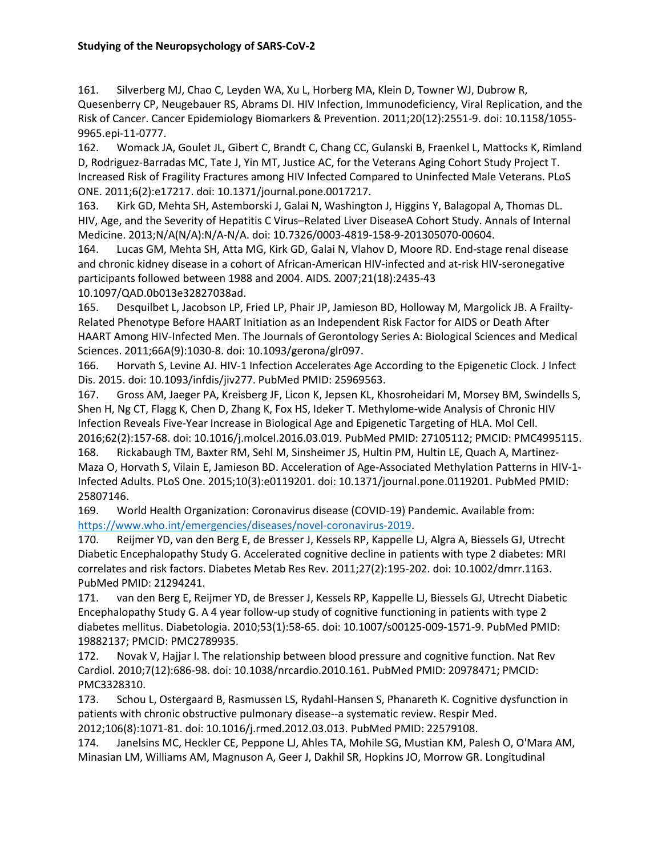161. Silverberg MJ, Chao C, Leyden WA, Xu L, Horberg MA, Klein D, Towner WJ, Dubrow R, Quesenberry CP, Neugebauer RS, Abrams DI. HIV Infection, Immunodeficiency, Viral Replication, and the Risk of Cancer. Cancer Epidemiology Biomarkers & Prevention. 2011;20(12):2551-9. doi: 10.1158/1055- 9965.epi-11-0777.

162. Womack JA, Goulet JL, Gibert C, Brandt C, Chang CC, Gulanski B, Fraenkel L, Mattocks K, Rimland D, Rodriguez-Barradas MC, Tate J, Yin MT, Justice AC, for the Veterans Aging Cohort Study Project T. Increased Risk of Fragility Fractures among HIV Infected Compared to Uninfected Male Veterans. PLoS ONE. 2011;6(2):e17217. doi: 10.1371/journal.pone.0017217.

163. Kirk GD, Mehta SH, Astemborski J, Galai N, Washington J, Higgins Y, Balagopal A, Thomas DL. HIV, Age, and the Severity of Hepatitis C Virus–Related Liver DiseaseA Cohort Study. Annals of Internal Medicine. 2013;N/A(N/A):N/A-N/A. doi: 10.7326/0003-4819-158-9-201305070-00604.

164. Lucas GM, Mehta SH, Atta MG, Kirk GD, Galai N, Vlahov D, Moore RD. End-stage renal disease and chronic kidney disease in a cohort of African-American HIV-infected and at-risk HIV-seronegative participants followed between 1988 and 2004. AIDS. 2007;21(18):2435-43 10.1097/QAD.0b013e32827038ad.

165. Desquilbet L, Jacobson LP, Fried LP, Phair JP, Jamieson BD, Holloway M, Margolick JB. A Frailty-Related Phenotype Before HAART Initiation as an Independent Risk Factor for AIDS or Death After HAART Among HIV-Infected Men. The Journals of Gerontology Series A: Biological Sciences and Medical Sciences. 2011;66A(9):1030-8. doi: 10.1093/gerona/glr097.

166. Horvath S, Levine AJ. HIV-1 Infection Accelerates Age According to the Epigenetic Clock. J Infect Dis. 2015. doi: 10.1093/infdis/jiv277. PubMed PMID: 25969563.

167. Gross AM, Jaeger PA, Kreisberg JF, Licon K, Jepsen KL, Khosroheidari M, Morsey BM, Swindells S, Shen H, Ng CT, Flagg K, Chen D, Zhang K, Fox HS, Ideker T. Methylome-wide Analysis of Chronic HIV Infection Reveals Five-Year Increase in Biological Age and Epigenetic Targeting of HLA. Mol Cell. 2016;62(2):157-68. doi: 10.1016/j.molcel.2016.03.019. PubMed PMID: 27105112; PMCID: PMC4995115.

168. Rickabaugh TM, Baxter RM, Sehl M, Sinsheimer JS, Hultin PM, Hultin LE, Quach A, Martinez-Maza O, Horvath S, Vilain E, Jamieson BD. Acceleration of Age-Associated Methylation Patterns in HIV-1- Infected Adults. PLoS One. 2015;10(3):e0119201. doi: 10.1371/journal.pone.0119201. PubMed PMID: 25807146.

169. World Health Organization: Coronavirus disease (COVID-19) Pandemic. Available from: [https://www.who.int/emergencies/diseases/novel-coronavirus-2019.](https://www.who.int/emergencies/diseases/novel-coronavirus-2019)

170. Reijmer YD, van den Berg E, de Bresser J, Kessels RP, Kappelle LJ, Algra A, Biessels GJ, Utrecht Diabetic Encephalopathy Study G. Accelerated cognitive decline in patients with type 2 diabetes: MRI correlates and risk factors. Diabetes Metab Res Rev. 2011;27(2):195-202. doi: 10.1002/dmrr.1163. PubMed PMID: 21294241.

171. van den Berg E, Reijmer YD, de Bresser J, Kessels RP, Kappelle LJ, Biessels GJ, Utrecht Diabetic Encephalopathy Study G. A 4 year follow-up study of cognitive functioning in patients with type 2 diabetes mellitus. Diabetologia. 2010;53(1):58-65. doi: 10.1007/s00125-009-1571-9. PubMed PMID: 19882137; PMCID: PMC2789935.

172. Novak V, Hajjar I. The relationship between blood pressure and cognitive function. Nat Rev Cardiol. 2010;7(12):686-98. doi: 10.1038/nrcardio.2010.161. PubMed PMID: 20978471; PMCID: PMC3328310.

173. Schou L, Ostergaard B, Rasmussen LS, Rydahl-Hansen S, Phanareth K. Cognitive dysfunction in patients with chronic obstructive pulmonary disease--a systematic review. Respir Med. 2012;106(8):1071-81. doi: 10.1016/j.rmed.2012.03.013. PubMed PMID: 22579108.

174. Janelsins MC, Heckler CE, Peppone LJ, Ahles TA, Mohile SG, Mustian KM, Palesh O, O'Mara AM, Minasian LM, Williams AM, Magnuson A, Geer J, Dakhil SR, Hopkins JO, Morrow GR. Longitudinal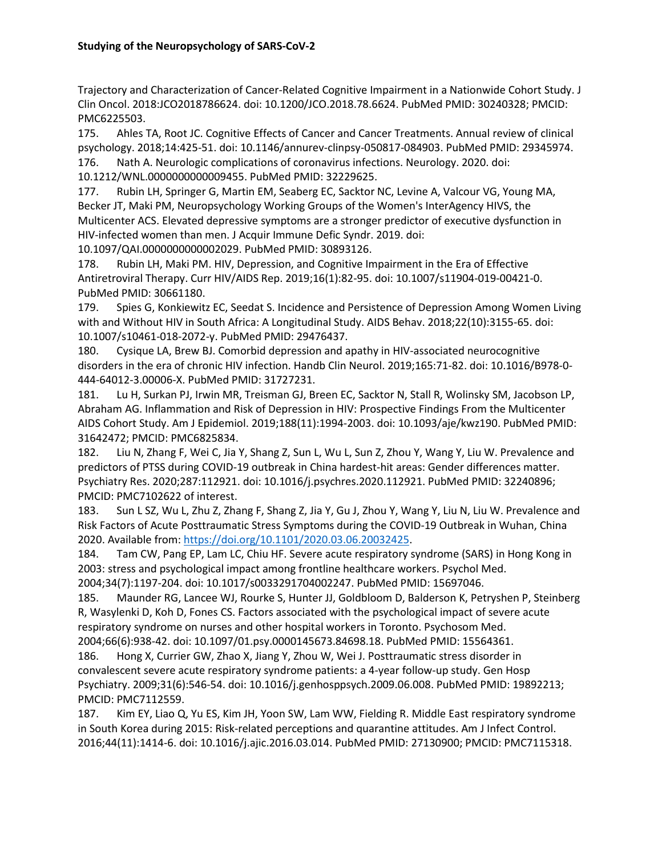Trajectory and Characterization of Cancer-Related Cognitive Impairment in a Nationwide Cohort Study. J Clin Oncol. 2018:JCO2018786624. doi: 10.1200/JCO.2018.78.6624. PubMed PMID: 30240328; PMCID: PMC6225503.

175. Ahles TA, Root JC. Cognitive Effects of Cancer and Cancer Treatments. Annual review of clinical psychology. 2018;14:425-51. doi: 10.1146/annurev-clinpsy-050817-084903. PubMed PMID: 29345974. 176. Nath A. Neurologic complications of coronavirus infections. Neurology. 2020. doi:

10.1212/WNL.0000000000009455. PubMed PMID: 32229625.

177. Rubin LH, Springer G, Martin EM, Seaberg EC, Sacktor NC, Levine A, Valcour VG, Young MA, Becker JT, Maki PM, Neuropsychology Working Groups of the Women's InterAgency HIVS, the Multicenter ACS. Elevated depressive symptoms are a stronger predictor of executive dysfunction in HIV-infected women than men. J Acquir Immune Defic Syndr. 2019. doi:

10.1097/QAI.0000000000002029. PubMed PMID: 30893126.

178. Rubin LH, Maki PM. HIV, Depression, and Cognitive Impairment in the Era of Effective Antiretroviral Therapy. Curr HIV/AIDS Rep. 2019;16(1):82-95. doi: 10.1007/s11904-019-00421-0. PubMed PMID: 30661180.

179. Spies G, Konkiewitz EC, Seedat S. Incidence and Persistence of Depression Among Women Living with and Without HIV in South Africa: A Longitudinal Study. AIDS Behav. 2018;22(10):3155-65. doi: 10.1007/s10461-018-2072-y. PubMed PMID: 29476437.

180. Cysique LA, Brew BJ. Comorbid depression and apathy in HIV-associated neurocognitive disorders in the era of chronic HIV infection. Handb Clin Neurol. 2019;165:71-82. doi: 10.1016/B978-0- 444-64012-3.00006-X. PubMed PMID: 31727231.

181. Lu H, Surkan PJ, Irwin MR, Treisman GJ, Breen EC, Sacktor N, Stall R, Wolinsky SM, Jacobson LP, Abraham AG. Inflammation and Risk of Depression in HIV: Prospective Findings From the Multicenter AIDS Cohort Study. Am J Epidemiol. 2019;188(11):1994-2003. doi: 10.1093/aje/kwz190. PubMed PMID: 31642472; PMCID: PMC6825834.

182. Liu N, Zhang F, Wei C, Jia Y, Shang Z, Sun L, Wu L, Sun Z, Zhou Y, Wang Y, Liu W. Prevalence and predictors of PTSS during COVID-19 outbreak in China hardest-hit areas: Gender differences matter. Psychiatry Res. 2020;287:112921. doi: 10.1016/j.psychres.2020.112921. PubMed PMID: 32240896; PMCID: PMC7102622 of interest.

183. Sun L SZ, Wu L, Zhu Z, Zhang F, Shang Z, Jia Y, Gu J, Zhou Y, Wang Y, Liu N, Liu W. Prevalence and Risk Factors of Acute Posttraumatic Stress Symptoms during the COVID-19 Outbreak in Wuhan, China 2020. Available from: [https://doi.org/10.1101/2020.03.06.20032425.](https://doi.org/10.1101/2020.03.06.20032425)

184. Tam CW, Pang EP, Lam LC, Chiu HF. Severe acute respiratory syndrome (SARS) in Hong Kong in 2003: stress and psychological impact among frontline healthcare workers. Psychol Med. 2004;34(7):1197-204. doi: 10.1017/s0033291704002247. PubMed PMID: 15697046.

185. Maunder RG, Lancee WJ, Rourke S, Hunter JJ, Goldbloom D, Balderson K, Petryshen P, Steinberg R, Wasylenki D, Koh D, Fones CS. Factors associated with the psychological impact of severe acute respiratory syndrome on nurses and other hospital workers in Toronto. Psychosom Med. 2004;66(6):938-42. doi: 10.1097/01.psy.0000145673.84698.18. PubMed PMID: 15564361.

186. Hong X, Currier GW, Zhao X, Jiang Y, Zhou W, Wei J. Posttraumatic stress disorder in convalescent severe acute respiratory syndrome patients: a 4-year follow-up study. Gen Hosp Psychiatry. 2009;31(6):546-54. doi: 10.1016/j.genhosppsych.2009.06.008. PubMed PMID: 19892213; PMCID: PMC7112559.

187. Kim EY, Liao Q, Yu ES, Kim JH, Yoon SW, Lam WW, Fielding R. Middle East respiratory syndrome in South Korea during 2015: Risk-related perceptions and quarantine attitudes. Am J Infect Control. 2016;44(11):1414-6. doi: 10.1016/j.ajic.2016.03.014. PubMed PMID: 27130900; PMCID: PMC7115318.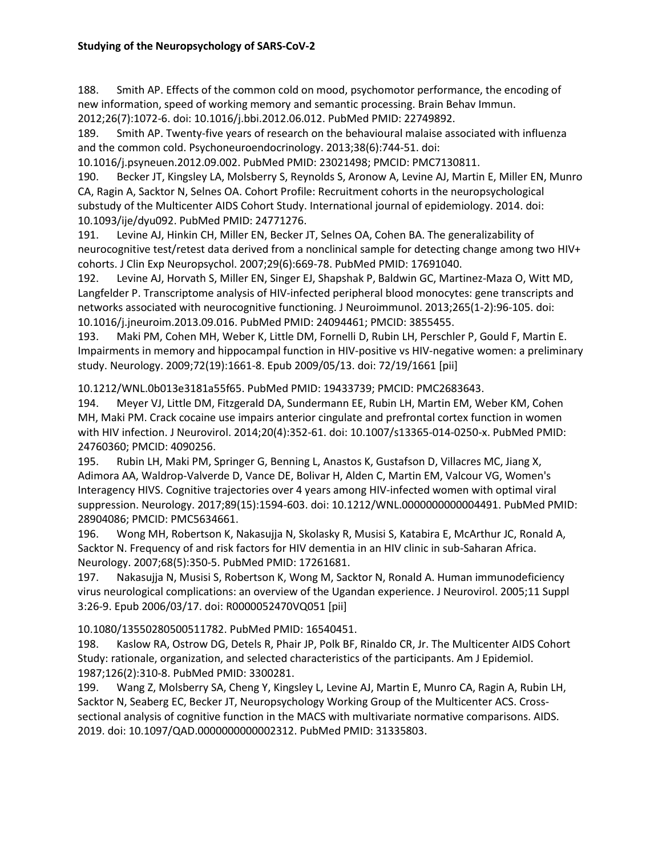188. Smith AP. Effects of the common cold on mood, psychomotor performance, the encoding of new information, speed of working memory and semantic processing. Brain Behav Immun. 2012;26(7):1072-6. doi: 10.1016/j.bbi.2012.06.012. PubMed PMID: 22749892.

189. Smith AP. Twenty-five years of research on the behavioural malaise associated with influenza and the common cold. Psychoneuroendocrinology. 2013;38(6):744-51. doi:

10.1016/j.psyneuen.2012.09.002. PubMed PMID: 23021498; PMCID: PMC7130811.

190. Becker JT, Kingsley LA, Molsberry S, Reynolds S, Aronow A, Levine AJ, Martin E, Miller EN, Munro CA, Ragin A, Sacktor N, Selnes OA. Cohort Profile: Recruitment cohorts in the neuropsychological substudy of the Multicenter AIDS Cohort Study. International journal of epidemiology. 2014. doi: 10.1093/ije/dyu092. PubMed PMID: 24771276.

191. Levine AJ, Hinkin CH, Miller EN, Becker JT, Selnes OA, Cohen BA. The generalizability of neurocognitive test/retest data derived from a nonclinical sample for detecting change among two HIV+ cohorts. J Clin Exp Neuropsychol. 2007;29(6):669-78. PubMed PMID: 17691040.

192. Levine AJ, Horvath S, Miller EN, Singer EJ, Shapshak P, Baldwin GC, Martinez-Maza O, Witt MD, Langfelder P. Transcriptome analysis of HIV-infected peripheral blood monocytes: gene transcripts and networks associated with neurocognitive functioning. J Neuroimmunol. 2013;265(1-2):96-105. doi: 10.1016/j.jneuroim.2013.09.016. PubMed PMID: 24094461; PMCID: 3855455.

193. Maki PM, Cohen MH, Weber K, Little DM, Fornelli D, Rubin LH, Perschler P, Gould F, Martin E. Impairments in memory and hippocampal function in HIV-positive vs HIV-negative women: a preliminary study. Neurology. 2009;72(19):1661-8. Epub 2009/05/13. doi: 72/19/1661 [pii]

10.1212/WNL.0b013e3181a55f65. PubMed PMID: 19433739; PMCID: PMC2683643.

194. Meyer VJ, Little DM, Fitzgerald DA, Sundermann EE, Rubin LH, Martin EM, Weber KM, Cohen MH, Maki PM. Crack cocaine use impairs anterior cingulate and prefrontal cortex function in women with HIV infection. J Neurovirol. 2014;20(4):352-61. doi: 10.1007/s13365-014-0250-x. PubMed PMID: 24760360; PMCID: 4090256.

195. Rubin LH, Maki PM, Springer G, Benning L, Anastos K, Gustafson D, Villacres MC, Jiang X, Adimora AA, Waldrop-Valverde D, Vance DE, Bolivar H, Alden C, Martin EM, Valcour VG, Women's Interagency HIVS. Cognitive trajectories over 4 years among HIV-infected women with optimal viral suppression. Neurology. 2017;89(15):1594-603. doi: 10.1212/WNL.0000000000004491. PubMed PMID: 28904086; PMCID: PMC5634661.

196. Wong MH, Robertson K, Nakasujja N, Skolasky R, Musisi S, Katabira E, McArthur JC, Ronald A, Sacktor N. Frequency of and risk factors for HIV dementia in an HIV clinic in sub-Saharan Africa. Neurology. 2007;68(5):350-5. PubMed PMID: 17261681.

197. Nakasujja N, Musisi S, Robertson K, Wong M, Sacktor N, Ronald A. Human immunodeficiency virus neurological complications: an overview of the Ugandan experience. J Neurovirol. 2005;11 Suppl 3:26-9. Epub 2006/03/17. doi: R0000052470VQ051 [pii]

10.1080/13550280500511782. PubMed PMID: 16540451.

198. Kaslow RA, Ostrow DG, Detels R, Phair JP, Polk BF, Rinaldo CR, Jr. The Multicenter AIDS Cohort Study: rationale, organization, and selected characteristics of the participants. Am J Epidemiol. 1987;126(2):310-8. PubMed PMID: 3300281.

199. Wang Z, Molsberry SA, Cheng Y, Kingsley L, Levine AJ, Martin E, Munro CA, Ragin A, Rubin LH, Sacktor N, Seaberg EC, Becker JT, Neuropsychology Working Group of the Multicenter ACS. Crosssectional analysis of cognitive function in the MACS with multivariate normative comparisons. AIDS. 2019. doi: 10.1097/QAD.0000000000002312. PubMed PMID: 31335803.